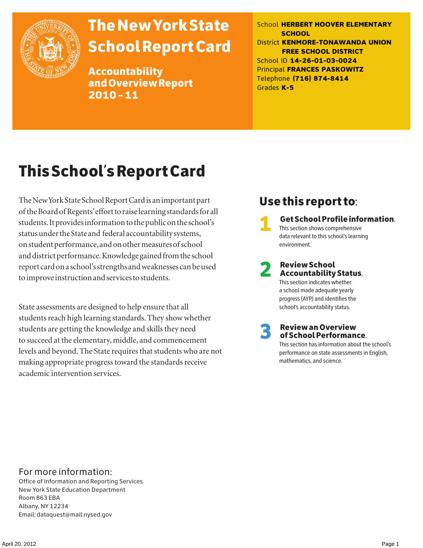

# The New York State School Report Card

Accountability and Overview Report 2010–11

School **HERBERT HOOVER ELEMENTARY SCHOOL** District **KENMORE-TONAWANDA UNION FREE SCHOOL DISTRICT** School ID **14-26-01-03-0024** Principal **FRANCES PASKOWITZ** Telephone **(716) 874-8414** Grades **K-5**

# This School's Report Card

The New York State School Report Card is an important part of the Board of Regents' effort to raise learning standards for all students. It provides information to the public on the school's status under the State and federal accountability systems, on student performance, and on other measures of school and district performance. Knowledge gained from the school report card on a school's strengths and weaknesses can be used to improve instruction and services to students.

State assessments are designed to help ensure that all students reach high learning standards. They show whether students are getting the knowledge and skills they need to succeed at the elementary, middle, and commencement levels and beyond. The State requires that students who are not making appropriate progress toward the standards receive academic intervention services.

## Use this report to:

1 Get School Profile information. This section shows comprehensive data relevant to this school's learning environment.

# 2 Review School Accountability Status.

This section indicates whether a school made adequate yearly progress (AYP) and identifies the school's accountability status.

3 Review an Overview of School Performance.

This section has information about the school's performance on state assessments in English, mathematics, and science.

### For more information:

Office of Information and Reporting Services New York State Education Department Room 863 EBA Albany, NY 12234 Email: dataquest@mail.nysed.gov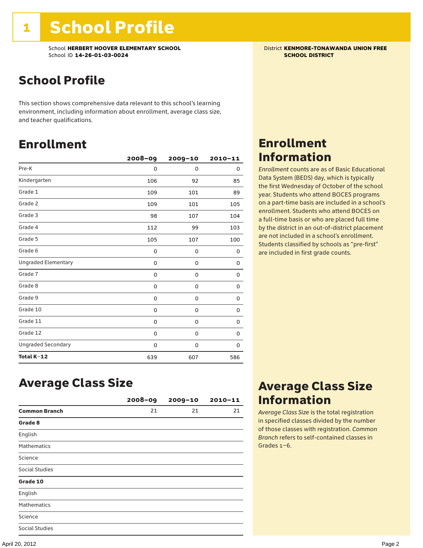School **HERBERT HOOVER ELEMENTARY SCHOOL** District **KENMORE-TONAWANDA UNION FREE**<br>School ID 14-26-01-03-0024 **District Act of Act of Act of Act of Act of Act of SCHOOL DISTRICT** School ID **14-26-01-03-0024** 

## School Profile

This section shows comprehensive data relevant to this school's learning environment, including information about enrollment, average class size, and teacher qualifications.

### Enrollment

|                            | $2008 - 09$ | 2009-10 | $2010 - 11$ |
|----------------------------|-------------|---------|-------------|
| Pre-K                      | 0           | 0       | 0           |
| Kindergarten               | 106         | 92      | 85          |
| Grade 1                    | 109         | 101     | 89          |
| Grade 2                    | 109         | 101     | 105         |
| Grade 3                    | 98          | 107     | 104         |
| Grade 4                    | 112         | 99      | 103         |
| Grade 5                    | 105         | 107     | 100         |
| Grade 6                    | 0           | 0       | 0           |
| <b>Ungraded Elementary</b> | 0           | 0       | 0           |
| Grade 7                    | 0           | 0       | 0           |
| Grade 8                    | 0           | 0       | 0           |
| Grade 9                    | 0           | 0       | 0           |
| Grade 10                   | 0           | 0       | 0           |
| Grade 11                   | 0           | 0       | 0           |
| Grade 12                   | 0           | 0       | 0           |
| <b>Ungraded Secondary</b>  | 0           | 0       | 0           |
| Total K-12                 | 639         | 607     | 586         |

### Enrollment Information

*Enrollment* counts are as of Basic Educational Data System (BEDS) day, which is typically the first Wednesday of October of the school year. Students who attend BOCES programs on a part-time basis are included in a school's enrollment. Students who attend BOCES on a full-time basis or who are placed full time by the district in an out-of-district placement are not included in a school's enrollment. Students classified by schools as "pre-first" are included in first grade counts.

### Average Class Size

|                       | $2008 - 09$ | $2009 - 10$ | $2010 - 11$ |
|-----------------------|-------------|-------------|-------------|
| <b>Common Branch</b>  | 21          | 21          | 21          |
| Grade 8               |             |             |             |
| English               |             |             |             |
| <b>Mathematics</b>    |             |             |             |
| Science               |             |             |             |
| <b>Social Studies</b> |             |             |             |
| Grade 10              |             |             |             |
| English               |             |             |             |
| Mathematics           |             |             |             |
| Science               |             |             |             |
| <b>Social Studies</b> |             |             |             |

### Average Class Size Information

*Average Class Size* is the total registration in specified classes divided by the number of those classes with registration. *Common Branch* refers to self-contained classes in Grades 1–6.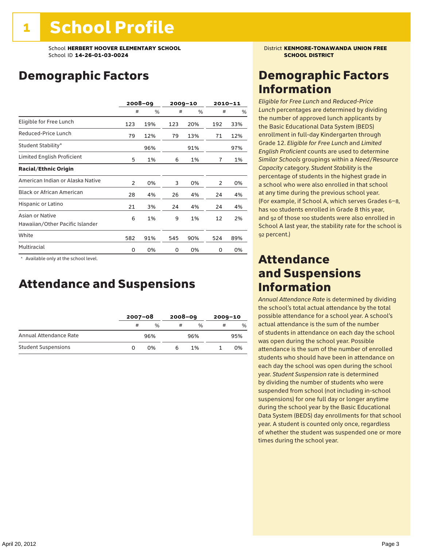## Demographic Factors

|                                                    |     | 2008-09 |     | $2009 - 10$ |     | $2010 - 11$ |
|----------------------------------------------------|-----|---------|-----|-------------|-----|-------------|
|                                                    | #   | %       | #   | %           | #   | %           |
| Eligible for Free Lunch                            | 123 | 19%     | 123 | 20%         | 192 | 33%         |
| Reduced-Price Lunch                                | 79  | 12%     | 79  | 13%         | 71  | 12%         |
| Student Stability*                                 |     | 96%     |     | 91%         |     | 97%         |
| Limited English Proficient                         | 5   | 1%      | 6   | 1%          | 7   | 1%          |
| <b>Racial/Ethnic Origin</b>                        |     |         |     |             |     |             |
| American Indian or Alaska Native                   | 2   | 0%      | 3   | 0%          | 2   | 0%          |
| <b>Black or African American</b>                   | 28  | 4%      | 26  | 4%          | 24  | 4%          |
| Hispanic or Latino                                 | 21  | 3%      | 24  | 4%          | 24  | 4%          |
| Asian or Native<br>Hawaiian/Other Pacific Islander | 6   | 1%      | 9   | 1%          | 12  | 2%          |
| White                                              | 582 | 91%     | 545 | 90%         | 524 | 89%         |
| Multiracial                                        | 0   | 0%      | 0   | 0%          | 0   | 0%          |

 \* Available only at the school level.

### Attendance and Suspensions

|                            |   | $2007 - 08$ |   | $2008 - 09$   |   | $2009 - 10$ |  |
|----------------------------|---|-------------|---|---------------|---|-------------|--|
|                            | # | $\%$        | # | $\frac{0}{6}$ | # | $\%$        |  |
| Annual Attendance Rate     |   | 96%         |   | 96%           |   | 95%         |  |
| <b>Student Suspensions</b> |   | በ%          |   | 1%            |   | 0%          |  |

### Demographic Factors Information

*Eligible for Free Lunch* and *Reduced*-*Price Lunch* percentages are determined by dividing the number of approved lunch applicants by the Basic Educational Data System (BEDS) enrollment in full-day Kindergarten through Grade 12. *Eligible for Free Lunch* and *Limited English Proficient* counts are used to determine *Similar Schools* groupings within a *Need*/*Resource Capacity* category. *Student Stability* is the percentage of students in the highest grade in a school who were also enrolled in that school at any time during the previous school year. (For example, if School A, which serves Grades 6–8, has 100 students enrolled in Grade 8 this year, and 92 of those 100 students were also enrolled in School A last year, the stability rate for the school is 92 percent.)

### Attendance and Suspensions Information

*Annual Attendance Rate* is determined by dividing the school's total actual attendance by the total possible attendance for a school year. A school's actual attendance is the sum of the number of students in attendance on each day the school was open during the school year. Possible attendance is the sum of the number of enrolled students who should have been in attendance on each day the school was open during the school year. *Student Suspension* rate is determined by dividing the number of students who were suspended from school (not including in-school suspensions) for one full day or longer anytime during the school year by the Basic Educational Data System (BEDS) day enrollments for that school year. A student is counted only once, regardless of whether the student was suspended one or more times during the school year.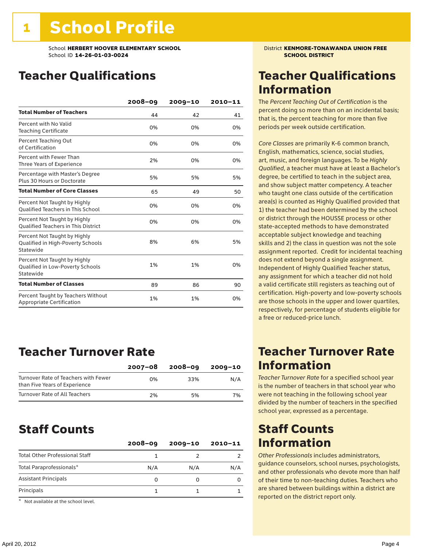## Teacher Qualifications

|                                                                                | 2008-09 | $2009 - 10$ | 2010-11 |
|--------------------------------------------------------------------------------|---------|-------------|---------|
| <b>Total Number of Teachers</b>                                                | 44      | 42          | 41      |
| Percent with No Valid<br><b>Teaching Certificate</b>                           | 0%      | 0%          | 0%      |
| Percent Teaching Out<br>of Certification                                       | 0%      | 0%          | 0%      |
| Percent with Fewer Than<br>Three Years of Experience                           | 2%      | 0%          | 0%      |
| Percentage with Master's Degree<br>Plus 30 Hours or Doctorate                  | 5%      | 5%          | 5%      |
| <b>Total Number of Core Classes</b>                                            | 65      | 49          | 50      |
| Percent Not Taught by Highly<br><b>Qualified Teachers in This School</b>       | 0%      | 0%          | 0%      |
| Percent Not Taught by Highly<br><b>Oualified Teachers in This District</b>     | 0%      | 0%          | 0%      |
| Percent Not Taught by Highly<br>Qualified in High-Poverty Schools<br>Statewide | 8%      | 6%          | 5%      |
| Percent Not Taught by Highly<br>Qualified in Low-Poverty Schools<br>Statewide  | 1%      | 1%          | 0%      |
| <b>Total Number of Classes</b>                                                 | 89      | 86          | 90      |
| Percent Taught by Teachers Without<br>Appropriate Certification                | 1%      | 1%          | 0%      |

### Teacher Turnover Rate

|                                                                       | 2007-08 | 2008-09 | 2009-10 |
|-----------------------------------------------------------------------|---------|---------|---------|
| Turnover Rate of Teachers with Fewer<br>than Five Years of Experience | በ%      | 33%     | N/A     |
| Turnover Rate of All Teachers                                         | 2%      | 5%      | 7%      |

### Staff Counts

|                                       | $2008 - 09$ | $2009 - 10$ | $2010 - 11$ |
|---------------------------------------|-------------|-------------|-------------|
| <b>Total Other Professional Staff</b> |             |             |             |
| Total Paraprofessionals*              | N/A         | N/A         | N/A         |
| <b>Assistant Principals</b>           | 0           |             |             |
| Principals                            |             |             |             |
| $-1$                                  |             |             |             |

Not available at the school level.

### Teacher Qualifications Information

The *Percent Teaching Out of Certification* is the percent doing so more than on an incidental basis; that is, the percent teaching for more than five periods per week outside certification.

*Core Classes* are primarily K-6 common branch, English, mathematics, science, social studies, art, music, and foreign languages. To be *Highly Qualified*, a teacher must have at least a Bachelor's degree, be certified to teach in the subject area, and show subject matter competency. A teacher who taught one class outside of the certification area(s) is counted as Highly Qualified provided that 1) the teacher had been determined by the school or district through the HOUSSE process or other state-accepted methods to have demonstrated acceptable subject knowledge and teaching skills and 2) the class in question was not the sole assignment reported. Credit for incidental teaching does not extend beyond a single assignment. Independent of Highly Qualified Teacher status, any assignment for which a teacher did not hold a valid certificate still registers as teaching out of certification. High-poverty and low-poverty schools are those schools in the upper and lower quartiles, respectively, for percentage of students eligible for a free or reduced-price lunch.

### Teacher Turnover Rate Information

*Teacher Turnover Rate* for a specified school year is the number of teachers in that school year who were not teaching in the following school year divided by the number of teachers in the specified school year, expressed as a percentage.

### Staff Counts Information

*Other Professionals* includes administrators, guidance counselors, school nurses, psychologists, and other professionals who devote more than half of their time to non-teaching duties. Teachers who are shared between buildings within a district are reported on the district report only.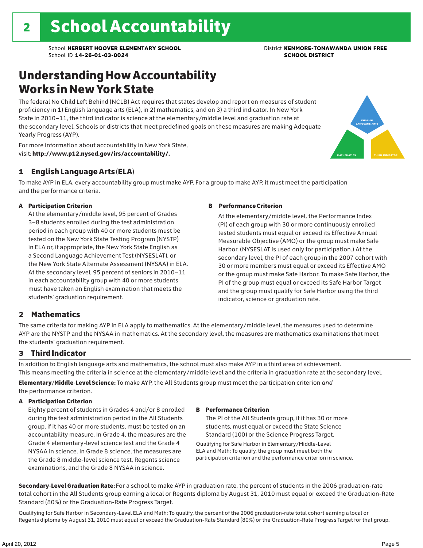## Understanding How Accountability Works in New York State

The federal No Child Left Behind (NCLB) Act requires that states develop and report on measures of student proficiency in 1) English language arts (ELA), in 2) mathematics, and on 3) a third indicator. In New York State in 2010–11, the third indicator is science at the elementary/middle level and graduation rate at the secondary level. Schools or districts that meet predefined goals on these measures are making Adequate Yearly Progress (AYP).



For more information about accountability in New York State, visit: http://www.p12.nysed.gov/irs/accountability/.

### 1 English Language Arts (ELA)

To make AYP in ELA, every accountability group must make AYP. For a group to make AYP, it must meet the participation and the performance criteria.

#### A Participation Criterion

At the elementary/middle level, 95 percent of Grades 3–8 students enrolled during the test administration period in each group with 40 or more students must be tested on the New York State Testing Program (NYSTP) in ELA or, if appropriate, the New York State English as a Second Language Achievement Test (NYSESLAT), or the New York State Alternate Assessment (NYSAA) in ELA. At the secondary level, 95 percent of seniors in 2010–11 in each accountability group with 40 or more students must have taken an English examination that meets the students' graduation requirement.

#### B Performance Criterion

At the elementary/middle level, the Performance Index (PI) of each group with 30 or more continuously enrolled tested students must equal or exceed its Effective Annual Measurable Objective (AMO) or the group must make Safe Harbor. (NYSESLAT is used only for participation.) At the secondary level, the PI of each group in the 2007 cohort with 30 or more members must equal or exceed its Effective AMO or the group must make Safe Harbor. To make Safe Harbor, the PI of the group must equal or exceed its Safe Harbor Target and the group must qualify for Safe Harbor using the third indicator, science or graduation rate.

### 2 Mathematics

The same criteria for making AYP in ELA apply to mathematics. At the elementary/middle level, the measures used to determine AYP are the NYSTP and the NYSAA in mathematics. At the secondary level, the measures are mathematics examinations that meet the students' graduation requirement.

### 3 Third Indicator

In addition to English language arts and mathematics, the school must also make AYP in a third area of achievement. This means meeting the criteria in science at the elementary/middle level and the criteria in graduation rate at the secondary level.

Elementary/Middle-Level Science: To make AYP, the All Students group must meet the participation criterion *and* the performance criterion.

#### A Participation Criterion

Eighty percent of students in Grades 4 and/or 8 enrolled during the test administration period in the All Students group, if it has 40 or more students, must be tested on an accountability measure. In Grade 4, the measures are the Grade 4 elementary-level science test and the Grade 4 NYSAA in science. In Grade 8 science, the measures are the Grade 8 middle-level science test, Regents science examinations, and the Grade 8 NYSAA in science.

#### B Performance Criterion

The PI of the All Students group, if it has 30 or more students, must equal or exceed the State Science Standard (100) or the Science Progress Target.

Qualifying for Safe Harbor in Elementary/Middle-Level ELA and Math: To qualify, the group must meet both the participation criterion and the performance criterion in science.

Secondary-Level Graduation Rate: For a school to make AYP in graduation rate, the percent of students in the 2006 graduation-rate total cohort in the All Students group earning a local or Regents diploma by August 31, 2010 must equal or exceed the Graduation-Rate Standard (80%) or the Graduation-Rate Progress Target.

Qualifying for Safe Harbor in Secondary-Level ELA and Math: To qualify, the percent of the 2006 graduation-rate total cohort earning a local or Regents diploma by August 31, 2010 must equal or exceed the Graduation-Rate Standard (80%) or the Graduation-Rate Progress Target for that group.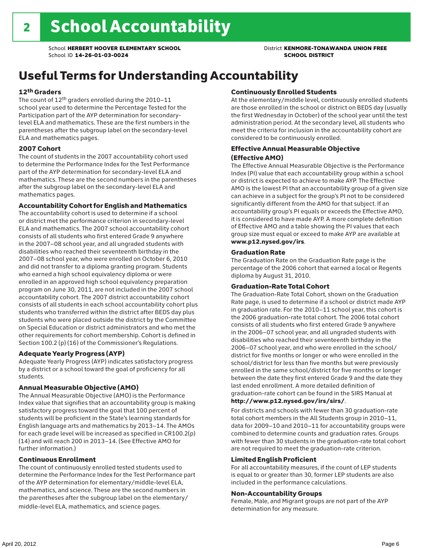## Useful Terms for Understanding Accountability

#### 12th Graders

The count of 12th graders enrolled during the 2010–11 school year used to determine the Percentage Tested for the Participation part of the AYP determination for secondarylevel ELA and mathematics. These are the first numbers in the parentheses after the subgroup label on the secondary-level ELA and mathematics pages.

#### 2007 Cohort

The count of students in the 2007 accountability cohort used to determine the Performance Index for the Test Performance part of the AYP determination for secondary-level ELA and mathematics. These are the second numbers in the parentheses after the subgroup label on the secondary-level ELA and mathematics pages.

#### Accountability Cohort for English and Mathematics

The accountability cohort is used to determine if a school or district met the performance criterion in secondary-level ELA and mathematics. The 2007 school accountability cohort consists of all students who first entered Grade 9 anywhere in the 2007–08 school year, and all ungraded students with disabilities who reached their seventeenth birthday in the 2007–08 school year, who were enrolled on October 6, 2010 and did not transfer to a diploma granting program. Students who earned a high school equivalency diploma or were enrolled in an approved high school equivalency preparation program on June 30, 2011, are not included in the 2007 school accountability cohort. The 2007 district accountability cohort consists of all students in each school accountability cohort plus students who transferred within the district after BEDS day plus students who were placed outside the district by the Committee on Special Education or district administrators and who met the other requirements for cohort membership. Cohort is defined in Section 100.2 (p) (16) of the Commissioner's Regulations.

#### Adequate Yearly Progress (AYP)

Adequate Yearly Progress (AYP) indicates satisfactory progress by a district or a school toward the goal of proficiency for all students.

#### Annual Measurable Objective (AMO)

The Annual Measurable Objective (AMO) is the Performance Index value that signifies that an accountability group is making satisfactory progress toward the goal that 100 percent of students will be proficient in the State's learning standards for English language arts and mathematics by 2013–14. The AMOs for each grade level will be increased as specified in CR100.2(p) (14) and will reach 200 in 2013–14. (See Effective AMO for further information.)

#### Continuous Enrollment

The count of continuously enrolled tested students used to determine the Performance Index for the Test Performance part of the AYP determination for elementary/middle-level ELA, mathematics, and science. These are the second numbers in the parentheses after the subgroup label on the elementary/ middle-level ELA, mathematics, and science pages.

#### Continuously Enrolled Students

At the elementary/middle level, continuously enrolled students are those enrolled in the school or district on BEDS day (usually the first Wednesday in October) of the school year until the test administration period. At the secondary level, all students who meet the criteria for inclusion in the accountability cohort are considered to be continuously enrolled.

#### Effective Annual Measurable Objective (Effective AMO)

The Effective Annual Measurable Objective is the Performance Index (PI) value that each accountability group within a school or district is expected to achieve to make AYP. The Effective AMO is the lowest PI that an accountability group of a given size can achieve in a subject for the group's PI not to be considered significantly different from the AMO for that subject. If an accountability group's PI equals or exceeds the Effective AMO, it is considered to have made AYP. A more complete definition of Effective AMO and a table showing the PI values that each group size must equal or exceed to make AYP are available at www.p12.nysed.gov/irs.

#### Graduation Rate

The Graduation Rate on the Graduation Rate page is the percentage of the 2006 cohort that earned a local or Regents diploma by August 31, 2010.

#### Graduation-Rate Total Cohort

The Graduation-Rate Total Cohort, shown on the Graduation Rate page, is used to determine if a school or district made AYP in graduation rate. For the 2010–11 school year, this cohort is the 2006 graduation-rate total cohort. The 2006 total cohort consists of all students who first entered Grade 9 anywhere in the 2006–07 school year, and all ungraded students with disabilities who reached their seventeenth birthday in the 2006–07 school year, and who were enrolled in the school/ district for five months or longer or who were enrolled in the school/district for less than five months but were previously enrolled in the same school/district for five months or longer between the date they first entered Grade 9 and the date they last ended enrollment. A more detailed definition of graduation-rate cohort can be found in the SIRS Manual at

### http://www.p12.nysed.gov/irs/sirs/.

For districts and schools with fewer than 30 graduation-rate total cohort members in the All Students group in 2010–11, data for 2009–10 and 2010–11 for accountability groups were combined to determine counts and graduation rates. Groups with fewer than 30 students in the graduation-rate total cohort are not required to meet the graduation-rate criterion.

#### Limited English Proficient

For all accountability measures, if the count of LEP students is equal to or greater than 30, former LEP students are also included in the performance calculations.

#### Non-Accountability Groups

Female, Male, and Migrant groups are not part of the AYP determination for any measure.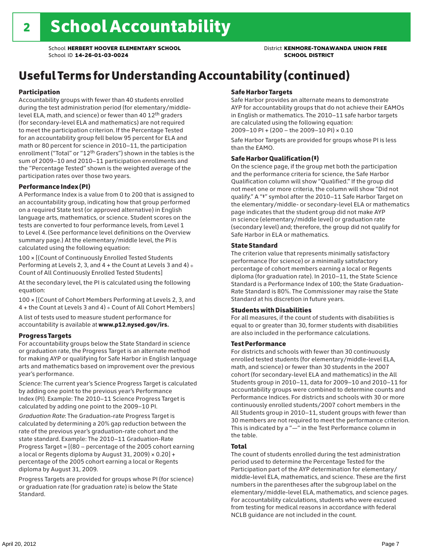## Useful Terms for Understanding Accountability (continued)

#### Participation

Accountability groups with fewer than 40 students enrolled during the test administration period (for elementary/middlelevel ELA, math, and science) or fewer than 40 12th graders (for secondary-level ELA and mathematics) are not required to meet the participation criterion. If the Percentage Tested for an accountability group fell below 95 percent for ELA and math or 80 percent for science in 2010–11, the participation enrollment ("Total" or "12th Graders") shown in the tables is the sum of 2009–10 and 2010–11 participation enrollments and the "Percentage Tested" shown is the weighted average of the participation rates over those two years.

#### Performance Index (PI)

A Performance Index is a value from 0 to 200 that is assigned to an accountability group, indicating how that group performed on a required State test (or approved alternative) in English language arts, mathematics, or science. Student scores on the tests are converted to four performance levels, from Level 1 to Level 4. (See performance level definitions on the Overview summary page.) At the elementary/middle level, the PI is calculated using the following equation:

100 × [(Count of Continuously Enrolled Tested Students Performing at Levels 2, 3, and  $4 +$  the Count at Levels 3 and  $4) \div$ Count of All Continuously Enrolled Tested Students]

At the secondary level, the PI is calculated using the following equation:

100 × [(Count of Cohort Members Performing at Levels 2, 3, and 4 + the Count at Levels 3 and 4) ÷ Count of All Cohort Members]

A list of tests used to measure student performance for accountability is available at www.p12.nysed.gov/irs.

#### Progress Targets

For accountability groups below the State Standard in science or graduation rate, the Progress Target is an alternate method for making AYP or qualifying for Safe Harbor in English language arts and mathematics based on improvement over the previous year's performance.

*Science:* The current year's Science Progress Target is calculated by adding one point to the previous year's Performance Index (PI). Example: The 2010–11 Science Progress Target is calculated by adding one point to the 2009–10 PI.

*Graduation Rate*: The Graduation-rate Progress Target is calculated by determining a 20% gap reduction between the rate of the previous year's graduation-rate cohort and the state standard. Example: The 2010–11 Graduation-Rate Progress Target = [(80 – percentage of the 2005 cohort earning a local or Regents diploma by August 31, 2009)  $\times$  0.20] + percentage of the 2005 cohort earning a local or Regents diploma by August 31, 2009.

Progress Targets are provided for groups whose PI (for science) or graduation rate (for graduation rate) is below the State Standard.

#### Safe Harbor Targets

Safe Harbor provides an alternate means to demonstrate AYP for accountability groups that do not achieve their EAMOs in English or mathematics. The 2010–11 safe harbor targets are calculated using the following equation: 2009–10 PI + (200 – the 2009–10 PI) × 0.10

Safe Harbor Targets are provided for groups whose PI is less than the EAMO.

#### Safe Harbor Qualification (‡)

On the science page, if the group met both the participation and the performance criteria for science, the Safe Harbor Qualification column will show "Qualified." If the group did not meet one or more criteria, the column will show "Did not qualify." A "‡" symbol after the 2010–11 Safe Harbor Target on the elementary/middle- or secondary-level ELA or mathematics page indicates that the student group did not make AYP in science (elementary/middle level) or graduation rate (secondary level) and; therefore, the group did not qualify for Safe Harbor in ELA or mathematics.

#### State Standard

The criterion value that represents minimally satisfactory performance (for science) or a minimally satisfactory percentage of cohort members earning a local or Regents diploma (for graduation rate). In 2010–11, the State Science Standard is a Performance Index of 100; the State Graduation-Rate Standard is 80%. The Commissioner may raise the State Standard at his discretion in future years.

#### Students with Disabilities

For all measures, if the count of students with disabilities is equal to or greater than 30, former students with disabilities are also included in the performance calculations.

#### Test Performance

For districts and schools with fewer than 30 continuously enrolled tested students (for elementary/middle-level ELA, math, and science) or fewer than 30 students in the 2007 cohort (for secondary-level ELA and mathematics) in the All Students group in 2010–11, data for 2009–10 and 2010–11 for accountability groups were combined to determine counts and Performance Indices. For districts and schools with 30 or more continuously enrolled students/2007 cohort members in the All Students group in 2010–11, student groups with fewer than 30 members are not required to meet the performance criterion. This is indicated by a "—" in the Test Performance column in the table.

#### Total

The count of students enrolled during the test administration period used to determine the Percentage Tested for the Participation part of the AYP determination for elementary/ middle-level ELA, mathematics, and science. These are the first numbers in the parentheses after the subgroup label on the elementary/middle-level ELA, mathematics, and science pages. For accountability calculations, students who were excused from testing for medical reasons in accordance with federal NCLB guidance are not included in the count.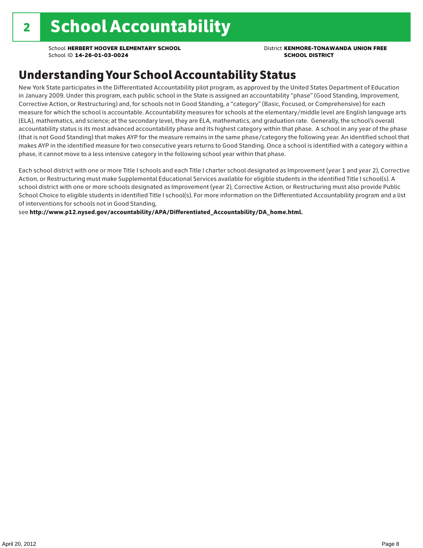### Understanding Your School Accountability Status

New York State participates in the Differentiated Accountability pilot program, as approved by the United States Department of Education in January 2009. Under this program, each public school in the State is assigned an accountability "phase" (Good Standing, Improvement, Corrective Action, or Restructuring) and, for schools not in Good Standing, a "category" (Basic, Focused, or Comprehensive) for each measure for which the school is accountable. Accountability measures for schools at the elementary/middle level are English language arts (ELA), mathematics, and science; at the secondary level, they are ELA, mathematics, and graduation rate. Generally, the school's overall accountability status is its most advanced accountability phase and its highest category within that phase. A school in any year of the phase (that is not Good Standing) that makes AYP for the measure remains in the same phase/category the following year. An identified school that makes AYP in the identified measure for two consecutive years returns to Good Standing. Once a school is identified with a category within a phase, it cannot move to a less intensive category in the following school year within that phase.

Each school district with one or more Title I schools and each Title I charter school designated as Improvement (year 1 and year 2), Corrective Action, or Restructuring must make Supplemental Educational Services available for eligible students in the identified Title I school(s). A school district with one or more schools designated as Improvement (year 2), Corrective Action, or Restructuring must also provide Public School Choice to eligible students in identified Title I school(s). For more information on the Differentiated Accountability program and a list of interventions for schools not in Good Standing,

see http://www.p12.nysed.gov/accountability/APA/Differentiated\_Accountability/DA\_home.html.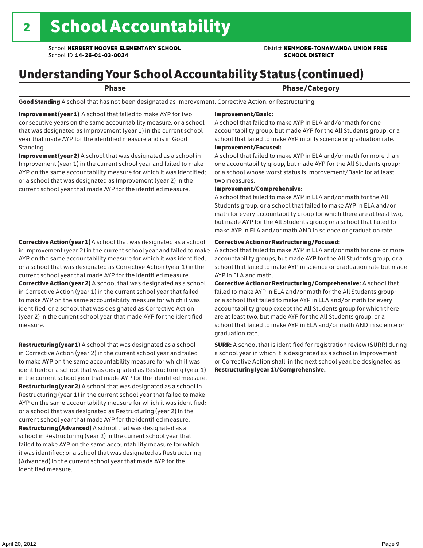## Understanding Your School Accountability Status (continued)

### Phase **Phase** Phase/Category

Good Standing A school that has not been designated as Improvement, Corrective Action, or Restructuring.

Improvement (year 1) A school that failed to make AYP for two consecutive years on the same accountability measure; or a school that was designated as Improvement (year 1) in the current school year that made AYP for the identified measure and is in Good Standing.

Improvement (year 2) A school that was designated as a school in Improvement (year 1) in the current school year and failed to make AYP on the same accountability measure for which it was identified; or a school that was designated as Improvement (year 2) in the current school year that made AYP for the identified measure.

#### Corrective Action (year 1) A school that was designated as a school in Improvement (year 2) in the current school year and failed to make AYP on the same accountability measure for which it was identified; or a school that was designated as Corrective Action (year 1) in the current school year that made AYP for the identified measure. Corrective Action (year 2) A school that was designated as a school in Corrective Action (year 1) in the current school year that failed to make AYP on the same accountability measure for which it was identified; or a school that was designated as Corrective Action (year 2) in the current school year that made AYP for the identified measure.

Restructuring (year 1) A school that was designated as a school in Corrective Action (year 2) in the current school year and failed to make AYP on the same accountability measure for which it was identified; or a school that was designated as Restructuring (year 1) in the current school year that made AYP for the identified measure. Restructuring (year 2) A school that was designated as a school in Restructuring (year 1) in the current school year that failed to make AYP on the same accountability measure for which it was identified; or a school that was designated as Restructuring (year 2) in the current school year that made AYP for the identified measure. Restructuring (Advanced) A school that was designated as a school in Restructuring (year 2) in the current school year that failed to make AYP on the same accountability measure for which it was identified; or a school that was designated as Restructuring (Advanced) in the current school year that made AYP for the identified measure.

#### Improvement/Basic:

A school that failed to make AYP in ELA and/or math for one accountability group, but made AYP for the All Students group; or a school that failed to make AYP in only science or graduation rate.

Improvement/Focused:

A school that failed to make AYP in ELA and/or math for more than one accountability group, but made AYP for the All Students group; or a school whose worst status is Improvement/Basic for at least two measures.

#### Improvement/Comprehensive:

A school that failed to make AYP in ELA and/or math for the All Students group; or a school that failed to make AYP in ELA and/or math for every accountability group for which there are at least two, but made AYP for the All Students group; or a school that failed to make AYP in ELA and/or math AND in science or graduation rate.

#### Corrective Action or Restructuring/Focused:

A school that failed to make AYP in ELA and/or math for one or more accountability groups, but made AYP for the All Students group; or a school that failed to make AYP in science or graduation rate but made AYP in ELA and math.

Corrective Action or Restructuring/Comprehensive: A school that failed to make AYP in ELA and/or math for the All Students group; or a school that failed to make AYP in ELA and/or math for every accountability group except the All Students group for which there are at least two, but made AYP for the All Students group; or a school that failed to make AYP in ELA and/or math AND in science or graduation rate.

SURR: A school that is identified for registration review (SURR) during a school year in which it is designated as a school in Improvement or Corrective Action shall, in the next school year, be designated as Restructuring (year 1)/Comprehensive.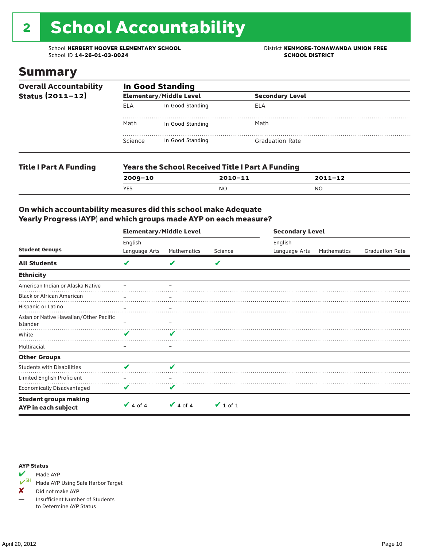# 2 School Accountability

School **HERBERT HOOVER ELEMENTARY SCHOOL** District **KENMORE-TONAWANDA UNION FREE**<br>School ID 14-26-01-03-0024 **District** School ID 14-26-01-03-0024 School ID **14-26-01-03-0024** 

### Summary

| <b>Overall Accountability</b><br>Status $(2011 - 12)$ | <b>In Good Standing</b> |                                                         |                        |  |  |  |
|-------------------------------------------------------|-------------------------|---------------------------------------------------------|------------------------|--|--|--|
|                                                       |                         | <b>Elementary/Middle Level</b>                          | <b>Secondary Level</b> |  |  |  |
|                                                       | ELA                     | In Good Standing                                        | ELA                    |  |  |  |
|                                                       | Math                    | In Good Standing                                        | Math                   |  |  |  |
|                                                       | Science                 | In Good Standing                                        | <b>Graduation Rate</b> |  |  |  |
| <b>Title I Part A Funding</b>                         |                         | <b>Years the School Received Title I Part A Funding</b> |                        |  |  |  |

| IC I FAI LA FUIIUIIIY | <b>IGGIS LIIG SCHOOL NECERTED TRUG IT AT FURNISH</b> |                |             |  |  |  |
|-----------------------|------------------------------------------------------|----------------|-------------|--|--|--|
|                       | 2009-10                                              | 2010-11        | $2011 - 12$ |  |  |  |
|                       | <b>YES</b>                                           | N <sub>O</sub> | NO          |  |  |  |
|                       |                                                      |                |             |  |  |  |

### On which accountability measures did this school make Adequate Yearly Progress (AYP) and which groups made AYP on each measure?

|                                                     | <b>Elementary/Middle Level</b> |                          |               |               | <b>Secondary Level</b> |                        |  |  |
|-----------------------------------------------------|--------------------------------|--------------------------|---------------|---------------|------------------------|------------------------|--|--|
| <b>Student Groups</b>                               | English                        |                          |               | English       |                        |                        |  |  |
|                                                     | Language Arts                  | Mathematics              | Science       | Language Arts | <b>Mathematics</b>     | <b>Graduation Rate</b> |  |  |
| <b>All Students</b>                                 | V                              | V                        | V             |               |                        |                        |  |  |
| <b>Ethnicity</b>                                    |                                |                          |               |               |                        |                        |  |  |
| American Indian or Alaska Native                    |                                |                          |               |               |                        |                        |  |  |
| <b>Black or African American</b>                    |                                | $\overline{\phantom{m}}$ |               |               |                        |                        |  |  |
| Hispanic or Latino                                  |                                |                          |               |               |                        |                        |  |  |
| Asian or Native Hawaiian/Other Pacific<br>Islander  |                                |                          |               |               |                        |                        |  |  |
| White                                               | v                              | V                        |               |               |                        |                        |  |  |
| Multiracial                                         | -                              | $\qquad \qquad -$        |               |               |                        |                        |  |  |
| <b>Other Groups</b>                                 |                                |                          |               |               |                        |                        |  |  |
| <b>Students with Disabilities</b>                   | v                              | V                        |               |               |                        |                        |  |  |
| Limited English Proficient                          |                                |                          |               |               |                        |                        |  |  |
| <b>Economically Disadvantaged</b>                   | V                              | V                        |               |               |                        |                        |  |  |
| <b>Student groups making</b><br>AYP in each subject | $\vee$ 4 of 4                  | $\vee$ 4 of 4            | $\vee$ 1 of 1 |               |                        |                        |  |  |

#### AYP Status



Made AYP Using Safe Harbor Target

✘ Did not make AYP

— Insufficient Number of Students to Determine AYP Status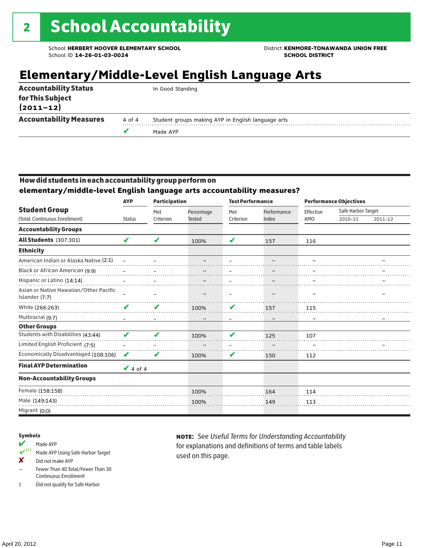## **Elementary/Middle-Level English Language Arts**

| <b>Accountability Status</b>      |        | In Good Standing                                   |
|-----------------------------------|--------|----------------------------------------------------|
| for This Subject<br>$(2011 - 12)$ |        |                                                    |
| <b>Accountability Measures</b>    | 4 of 4 | Student groups making AYP in English language arts |
|                                   |        | Made AYP                                           |
|                                   |        |                                                    |

### How did students in each accountability group perform on

**elementary/middle-level English language arts accountability measures?**

|                                                          | <b>AYP</b><br><b>Participation</b> |                  | <b>Test Performance</b>     |                  |                      | <b>Performance Objectives</b> |                               |             |
|----------------------------------------------------------|------------------------------------|------------------|-----------------------------|------------------|----------------------|-------------------------------|-------------------------------|-------------|
| <b>Student Group</b><br>(Total: Continuous Enrollment)   | <b>Status</b>                      | Met<br>Criterion | Percentage<br><b>Tested</b> | Met<br>Criterion | Performance<br>Index | Effective<br>AMO              | Safe Harbor Target<br>2010-11 | $2011 - 12$ |
|                                                          |                                    |                  |                             |                  |                      |                               |                               |             |
| <b>Accountability Groups</b>                             |                                    |                  |                             |                  |                      |                               |                               |             |
| All Students (307:301)                                   | V                                  | V                | 100%                        | V                | 157                  | 116                           |                               |             |
| <b>Ethnicity</b>                                         |                                    |                  |                             |                  |                      |                               |                               |             |
| American Indian or Alaska Native (2:1)                   |                                    |                  |                             |                  |                      |                               |                               |             |
| Black or African American (9:9)                          |                                    |                  |                             |                  |                      |                               |                               |             |
| Hispanic or Latino (14:14)                               |                                    |                  |                             |                  |                      |                               |                               |             |
| Asian or Native Hawaiian/Other Pacific<br>Islander (7:7) |                                    |                  |                             | $\equiv$         |                      |                               |                               |             |
| White (266:263)                                          | v                                  | V                | 100%                        | V                | 157                  | 115                           |                               |             |
| Multiracial (9:7)                                        |                                    |                  |                             |                  |                      |                               |                               |             |
| <b>Other Groups</b>                                      |                                    |                  |                             |                  |                      |                               |                               |             |
| Students with Disabilities (43:44)                       | V                                  | ✔                | 100%                        | ✔                | 125                  | 107                           |                               |             |
| Limited English Proficient (7:5)                         |                                    |                  |                             |                  |                      |                               |                               |             |
| Economically Disadvantaged (108:106)                     | $\mathbf{v}$                       | V                | 100%                        | V                | 150                  | 112                           |                               |             |
| <b>Final AYP Determination</b>                           | $\vee$ 4 of 4                      |                  |                             |                  |                      |                               |                               |             |
| <b>Non-Accountability Groups</b>                         |                                    |                  |                             |                  |                      |                               |                               |             |
| Female (158:158)                                         |                                    |                  | 100%                        |                  | 164                  | 114                           |                               |             |
| Male (149:143)                                           |                                    |                  | 100%                        |                  | 149                  | 113                           |                               |             |
| Migrant (0:0)                                            |                                    |                  |                             |                  |                      |                               |                               |             |

#### Symbols

- Made AYP<br>
SH Made AYP Made AYP Using Safe Harbor Target
- ✘ Did not make AYP
- Fewer Than 40 Total/Fewer Than 30 Continuous Enrollment
- ‡ Did not qualify for Safe Harbor

note: See *Useful Terms for Understanding Accountability*  for explanations and definitions of terms and table labels used on this page.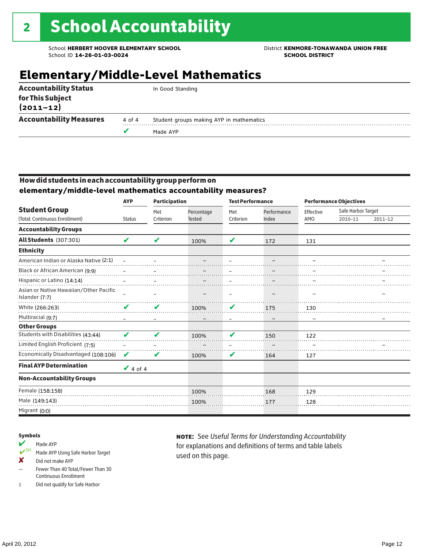## **Elementary/Middle-Level Mathematics**

|                                   |        | Made AYP                                 |
|-----------------------------------|--------|------------------------------------------|
| <b>Accountability Measures</b>    | 4 of 4 | Student groups making AYP in mathematics |
| for This Subject<br>$(2011 - 12)$ |        |                                          |
| <b>Accountability Status</b>      |        | In Good Standing                         |

### How did students in each accountability group perform on **elementary/middle-level mathematics accountability measures?**

|                                                          | <b>AYP</b>    | <b>Participation</b> |               | <b>Test Performance</b> |             | <b>Performance Objectives</b> |                    |         |
|----------------------------------------------------------|---------------|----------------------|---------------|-------------------------|-------------|-------------------------------|--------------------|---------|
| <b>Student Group</b>                                     |               | Met                  | Percentage    | Met                     | Performance | Effective                     | Safe Harbor Target |         |
| (Total: Continuous Enrollment)                           | <b>Status</b> | Criterion            | <b>Tested</b> | Criterion               | Index       | AMO                           | 2010-11            | 2011-12 |
| <b>Accountability Groups</b>                             |               |                      |               |                         |             |                               |                    |         |
| All Students (307:301)                                   | V             | ✔                    | 100%          | V                       | 172         | 131                           |                    |         |
| <b>Ethnicity</b>                                         |               |                      |               |                         |             |                               |                    |         |
| American Indian or Alaska Native (2:1)                   |               |                      |               |                         |             |                               |                    |         |
| Black or African American (9:9)                          |               |                      |               |                         |             |                               |                    |         |
| Hispanic or Latino (14:14)                               |               |                      |               |                         |             |                               |                    |         |
| Asian or Native Hawaiian/Other Pacific<br>Islander (7:7) |               |                      |               |                         |             |                               |                    |         |
| White (266:263)                                          | V             | V                    | 100%          | V                       | 175         | 130                           |                    |         |
| Multiracial (9:7)                                        |               |                      |               |                         |             |                               |                    |         |
| <b>Other Groups</b>                                      |               |                      |               |                         |             |                               |                    |         |
| Students with Disabilities (43:44)                       | ✔             | $\mathbf{v}$         | 100%          | V                       | 150         | 122                           |                    |         |
| Limited English Proficient (7:5)                         |               |                      |               |                         |             |                               |                    |         |
| Economically Disadvantaged (108:106)                     | $\mathbf{v}$  | V                    | 100%          | V                       | 164         | 127                           |                    |         |
| <b>Final AYP Determination</b>                           | $\vee$ 4 of 4 |                      |               |                         |             |                               |                    |         |
| <b>Non-Accountability Groups</b>                         |               |                      |               |                         |             |                               |                    |         |
| Female (158:158)                                         |               |                      | 100%          |                         | 168         | 129                           |                    |         |
| Male (149:143)                                           |               |                      | 100%          |                         | 177         | 128                           |                    |         |
| Migrant (0:0)                                            |               |                      |               |                         |             |                               |                    |         |

#### Symbols

- Made AYP<br>
SH Made AYP Made AYP Using Safe Harbor Target
- ✘ Did not make AYP
- Fewer Than 40 Total/Fewer Than 30 Continuous Enrollment
- ‡ Did not qualify for Safe Harbor

note: See *Useful Terms for Understanding Accountability*  for explanations and definitions of terms and table labels used on this page.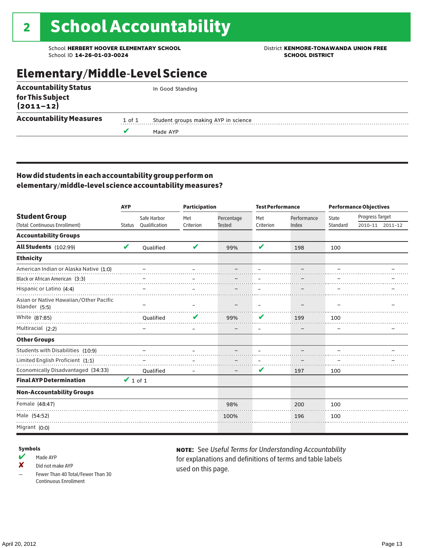School **HERBERT HOOVER ELEMENTARY SCHOOL** District **KENMORE-TONAWANDA UNION FREE**<br>School ID 14-26-01-03-0024 **District** School ID 14-26-01-03-0024 School ID **14-26-01-03-0024** 

### Elementary/Middle-Level Science

| <b>Accountability Status</b>   |        | In Good Standing                     |  |  |  |  |  |  |
|--------------------------------|--------|--------------------------------------|--|--|--|--|--|--|
| for This Subject<br>(2011–12)  |        |                                      |  |  |  |  |  |  |
| <b>Accountability Measures</b> | 1 of 1 | Student groups making AYP in science |  |  |  |  |  |  |
|                                |        | Made AYP                             |  |  |  |  |  |  |
|                                |        |                                      |  |  |  |  |  |  |

### How did students in each accountability group perform on elementary/middle-level science accountability measures?

|                                                                       | <b>AYP</b>    |                              |                  | <b>Participation</b>        | <b>Test Performance</b> |                      | <b>Performance Objectives</b> |                 |                 |
|-----------------------------------------------------------------------|---------------|------------------------------|------------------|-----------------------------|-------------------------|----------------------|-------------------------------|-----------------|-----------------|
| <b>Student Group</b><br>(Total: Continuous Enrollment)                | <b>Status</b> | Safe Harbor<br>Qualification | Met<br>Criterion | Percentage<br><b>Tested</b> | Met<br>Criterion        | Performance<br>Index | State<br>Standard             | Progress Target | 2010-11 2011-12 |
| <b>Accountability Groups</b>                                          |               |                              |                  |                             |                         |                      |                               |                 |                 |
| All Students (102:99)                                                 | V             | Oualified                    | V                | 99%                         | V                       | 198                  | 100                           |                 |                 |
| <b>Ethnicity</b>                                                      |               |                              |                  |                             |                         |                      |                               |                 |                 |
| American Indian or Alaska Native (1:0)                                |               |                              |                  |                             |                         |                      |                               |                 |                 |
| Black or African American (3:3)                                       |               |                              |                  |                             |                         |                      |                               |                 |                 |
| Hispanic or Latino (4:4)                                              |               |                              |                  |                             |                         |                      |                               |                 |                 |
| Asian or Native Hawaiian/Other Pacific<br>Islander (5:5)              |               |                              |                  |                             |                         |                      |                               |                 |                 |
| White (87:85)                                                         |               | Qualified                    |                  | 99%                         | V                       | 199                  | 100                           |                 |                 |
| Multiracial (2:2)                                                     |               |                              |                  |                             |                         |                      |                               |                 |                 |
| <b>Other Groups</b>                                                   |               |                              |                  |                             |                         |                      |                               |                 |                 |
| Students with Disabilities (10:9)<br>Limited English Proficient (1:1) |               |                              |                  |                             |                         |                      |                               |                 |                 |
| Economically Disadvantaged (34:33)                                    |               | Qualified                    |                  |                             | V                       | 197                  | 100                           |                 |                 |
| <b>Final AYP Determination</b>                                        | $\vee$ 1 of 1 |                              |                  |                             |                         |                      |                               |                 |                 |
| <b>Non-Accountability Groups</b>                                      |               |                              |                  |                             |                         |                      |                               |                 |                 |
| Female (48:47)                                                        |               |                              |                  | 98%                         |                         | 200                  | 100                           |                 |                 |
| Male (54:52)                                                          |               |                              |                  | 100%                        |                         | 196                  | 100                           |                 |                 |
| Migrant (0:0)                                                         |               |                              |                  |                             |                         |                      |                               |                 |                 |

#### Symbols

 $M$  Made AYP

✘ Did not make AYP

Fewer Than 40 Total/Fewer Than 30 Continuous Enrollment

note: See *Useful Terms for Understanding Accountability*  for explanations and definitions of terms and table labels used on this page.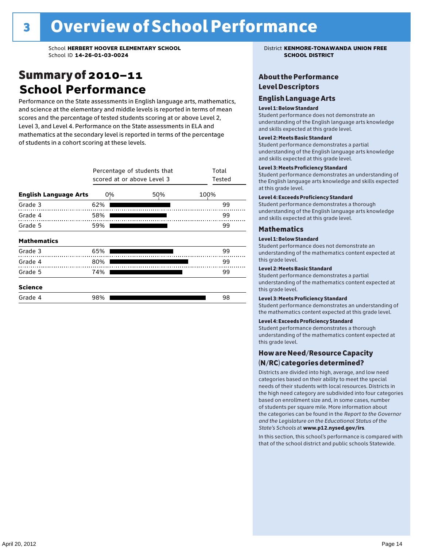### Summary of 2010–11 **School Performance**

Performance on the State assessments in English language arts, mathematics, and science at the elementary and middle levels is reported in terms of mean scores and the percentage of tested students scoring at or above Level 2, Level 3, and Level 4. Performance on the State assessments in ELA and mathematics at the secondary level is reported in terms of the percentage of students in a cohort scoring at these levels.

|                              | Percentage of students that<br>scored at or above Level 3 | Total<br>Tested |      |
|------------------------------|-----------------------------------------------------------|-----------------|------|
| <b>English Language Arts</b> | 0%                                                        | 50%             | 100% |
| Grade 3                      | 62%                                                       |                 | 99   |
| Grade 4                      | 58%                                                       |                 | 99   |
| Grade 5                      | 59%                                                       |                 | 99   |
| <b>Mathematics</b>           |                                                           |                 |      |
| Grade 3                      | 65%                                                       |                 | 99   |
| Grade 4                      | 80%                                                       |                 | 99   |
| Grade 5                      | 74%                                                       |                 | 99   |
| <b>Science</b>               |                                                           |                 |      |
| Grade 4                      | 98%                                                       |                 | 98   |

### About the Performance Level Descriptors

#### English I anguage Arts. The Learning English Language Arts

#### Level 1: Below Standard

understanding of the content expected in the subjection of the subjection  $\mathcal{L}$ Student performance does not demonstrate an and skills expected at this grade level. understanding of the English language arts knowledge

#### Student performance demonstrates a partial Level 2: Meets Basic Standard understanding of the content expected in the subject of the subject of the subject of the subject of the subject

Student performance demonstrates a partial and skills expected at this grade level. Students performance demonstrates and understanding and understanding and understanding and understanding and u understanding of the English language arts knowledge

#### Level 3: Meets Proficiency Standard

Level 4: Meeting Learning Standards with Distinction. the English language arts knowledge and skills expected at this grade level.<br>at this grade level.  $\mathbf{u}$  and  $\mathbf{y}$  and  $\mathbf{u}$  the subjected in the subjected in the subjected in the subjection  $\mathbf{v}$ Student performance demonstrates an understanding of

#### Level 4: Exceeds Proficiency Standard

understanding of the English language arts knowledge and skills expected at this grade level.<br>———————————————————— Student performance demonstrates a thorough

#### Districts are districts and low need in the low need  $\sim$

#### categories based on their ability to meet the special Level 1: Below Standard

Student performance does not demonstrate an understanding of the mathematics content expected at  $\frac{1}{2}$  based on enrollment size and, in some cases, number  $\frac{1}{2}$  and,  $\frac{1}{2}$  and,  $\frac{1}{2}$ 

### $\overline{\mathsf{Level}}$  2: Meets Basic Standard about 2: More information about 2: More information about 2: More information about 2: More information about 2: More information about 2: More information about 2: More information abo

the categories can be found in the *Report to the Governor categories* can be found in the *Report to the Govern*or  $\alpha$ *and the Legislature on the Educational Status of the*  Student performance demonstrates a partial understanding of the mathematics content expected at this grade level.

#### Level 3: Meets Proficiency Standard

Student performance demonstrates an understanding of the mathematics content expected at this grade level.

#### Level 4: Exceeds Proficiency Standard

Student performance demonstrates a thorough understanding of the mathematics content expected at this grade level.  $\mathcal{L}_{\text{max}}$  is performance with that of similar  $\mathcal{L}_{\text{max}}$ 

#### schools. The following factors are considered in grouping How are Need/Resource Capacity  $(N/RC)$  categories determined?  $\hphantom{N(2)}\sum_{n=1}^{\infty}\frac{1}{n}$

Districts are divided into high, average, and low need categories based on their ability to meet the special needs of their students with local resources. Districts in the high need category are subdivided into four categories based on enrollment size and, in some cases, number of students per square mile. More information about the categories can be found in the *Report to the Governor* Group: *State's Schools* at www.p12.nysed.gov/irs. *and the Legislature on the Educational Status of the* 

In this section, this school's performance is compared with that of the school district and public schools Statewide.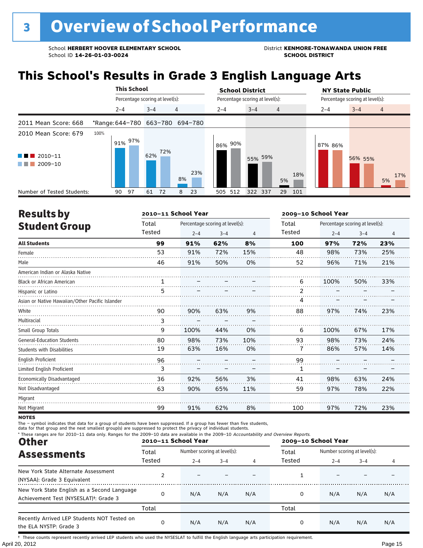## **This School's Results in Grade 3 English Language Arts**

|                                                                                   |                                 |         | <b>This School</b>              |         |     |    |     |  | <b>School District</b> |  |                                 |                | <b>NY State Public</b> |                                 |         |  |                |     |
|-----------------------------------------------------------------------------------|---------------------------------|---------|---------------------------------|---------|-----|----|-----|--|------------------------|--|---------------------------------|----------------|------------------------|---------------------------------|---------|--|----------------|-----|
|                                                                                   |                                 |         | Percentage scoring at level(s): |         |     |    |     |  |                        |  | Percentage scoring at level(s): |                |                        | Percentage scoring at level(s): |         |  |                |     |
|                                                                                   |                                 | $2 - 4$ |                                 | $3 - 4$ |     | 4  |     |  | $2 - 4$                |  | $3 - 4$                         | $\overline{4}$ |                        | $2 - 4$                         | $3 - 4$ |  | $\overline{4}$ |     |
| 2011 Mean Score: 668                                                              | *Range: 644-780 663-780 694-780 |         |                                 |         |     |    |     |  |                        |  |                                 |                |                        |                                 |         |  |                |     |
| 2010 Mean Score: 679<br>$\blacksquare$ 2010-11<br>and the state<br>2009-10<br>. . | 100%                            |         | 91% 97%                         | 62%     | 72% | 8% | 23% |  | 86% 90%                |  | 55% 59%                         | 5%             | 18%                    | 87% 86%                         | 56% 55% |  | 5%             | 17% |
| Number of Tested Students:                                                        |                                 | 90      | 97                              | 61      | 72  | 8  | 23  |  | 505 512                |  | 322 337                         | 29             | 101                    |                                 |         |  |                |     |

| <b>Results by</b>                               |        | 2010-11 School Year |                                 |                | 2009-10 School Year |         |                                 |     |  |
|-------------------------------------------------|--------|---------------------|---------------------------------|----------------|---------------------|---------|---------------------------------|-----|--|
| <b>Student Group</b>                            | Total  |                     | Percentage scoring at level(s): |                | Total               |         | Percentage scoring at level(s): |     |  |
|                                                 | Tested | $2 - 4$             | $3 - 4$                         | $\overline{4}$ | Tested              | $2 - 4$ | $3 - 4$                         | 4   |  |
| <b>All Students</b>                             | 99     | 91%                 | 62%                             | 8%             | 100                 | 97%     | 72%                             | 23% |  |
| Female                                          | 53     | 91%                 | 72%                             | 15%            | 48                  | 98%     | 73%                             | 25% |  |
| Male                                            | 46     | 91%                 | 50%                             | 0%             | 52                  | 96%     | 71%                             | 21% |  |
| American Indian or Alaska Native                |        |                     |                                 |                |                     |         |                                 |     |  |
| Black or African American                       | 1      |                     |                                 |                | 6                   | 100%    | 50%                             | 33% |  |
| Hispanic or Latino                              | 5      |                     |                                 |                | 2                   |         |                                 |     |  |
| Asian or Native Hawaiian/Other Pacific Islander |        |                     |                                 |                | 4                   |         |                                 |     |  |
| White                                           | 90     | 90%                 | 63%                             | 9%             | 88                  | 97%     | 74%                             | 23% |  |
| Multiracial                                     | 3      |                     |                                 |                |                     |         |                                 |     |  |
| Small Group Totals                              | 9      | 100%                | 44%                             | 0%             | 6                   | 100%    | 67%                             | 17% |  |
| <b>General-Education Students</b>               | 80     | 98%                 | 73%                             | 10%            | 93                  | 98%     | 73%                             | 24% |  |
| <b>Students with Disabilities</b>               | 19     | 63%                 | 16%                             | 0%             | 7                   | 86%     | 57%                             | 14% |  |
| <b>English Proficient</b>                       | 96     |                     |                                 |                | 99                  |         |                                 |     |  |
| Limited English Proficient                      | 3      |                     |                                 |                | 1                   |         |                                 |     |  |
| Economically Disadvantaged                      | 36     | 92%                 | 56%                             | 3%             | 41                  | 98%     | 63%                             | 24% |  |
| Not Disadvantaged                               | 63     | 90%                 | 65%                             | 11%            | 59                  | 97%     | 78%                             | 22% |  |
| Migrant                                         |        |                     |                                 |                |                     |         |                                 |     |  |
| Not Migrant                                     | 99     | 91%                 | 62%                             | 8%             | 100                 | 97%     | 72%                             | 23% |  |

**NOTES** 

The – symbol indicates that data for a group of students have been suppressed. If a group has fewer than five students,

data for that group and the next smallest group(s) are suppressed to protect the privacy of individual students.

Other **Assessments** Total Number scoring at level(s):<br>Tested  $2-4$   $3-4$   $4$  Tested  $2-4$   $3-4$ <br>Tested  $2-4$   $3-4$ 2–4 3–4 4 2–4 3–4 4 \* These ranges are for 2010–11 data only. Ranges for the 2009–10 data are available in the 2009–10 Accountability and Overview Reports.<br>2009–10 2010–11 School Year **2010–11 School Year 2009–10 School Year** Total Tested Total Tested New York State Alternate Assessment (NYSAA): Grade 3 Equivalent <sup>2</sup> – – – <sup>1</sup> – – – New York State English as a Second Language Achievement Test (NYSESLAT)†: Grade 3 <sup>0</sup> N/A N/A N/A <sup>0</sup> N/A N/A N/A Total Total Recently Arrived LEP Students NOT Tested on the ELA NYSTP: Grade 3 0 N/A N/A N/A 0 N/A N/A N/A

April 20, 2012 Page 15 † These counts represent recently arrived LEP students who used the NYSESLAT to fulfill the English language arts participation requirement.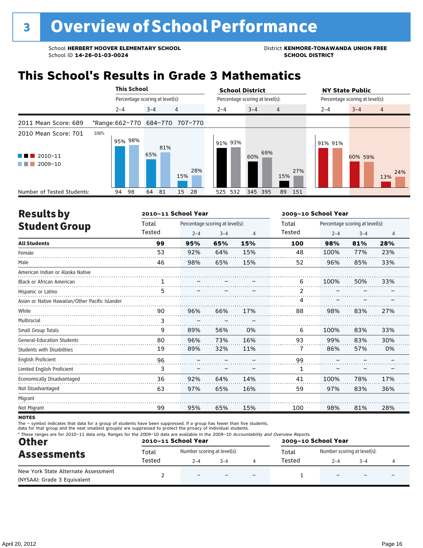## **This School's Results in Grade 3 Mathematics**

|                                                                                       |      | <b>This School</b>              |         |     |                                 | <b>School District</b> |                                 |                | <b>NY State Public</b><br>Percentage scoring at level(s): |                       |  |  |
|---------------------------------------------------------------------------------------|------|---------------------------------|---------|-----|---------------------------------|------------------------|---------------------------------|----------------|-----------------------------------------------------------|-----------------------|--|--|
|                                                                                       |      | Percentage scoring at level(s): |         |     |                                 |                        | Percentage scoring at level(s): |                |                                                           |                       |  |  |
|                                                                                       |      | $2 - 4$                         | $3 - 4$ |     | 4                               | $2 - 4$                | $3 - 4$                         | $\overline{4}$ | $2 - 4$                                                   | $3 - 4$<br>4          |  |  |
| 2011 Mean Score: 689                                                                  |      |                                 |         |     | *Range: 662-770 684-770 707-770 |                        |                                 |                |                                                           |                       |  |  |
| 2010 Mean Score: 701<br>$2010 - 11$<br>a kacamatan ing Kabupatèn Kabupatèn<br>2009-10 | 100% | 95% 98%                         | 65%     | 81% | 28%<br>15%                      | 91% 93%                | 69%<br>60%                      | 27%<br>15%     | 91% 91%                                                   | 60% 59%<br>24%<br>13% |  |  |
| Number of Tested Students:                                                            |      | 98<br>94                        | 64      | 81  | 28<br>15                        | 525 532                | 345 395                         | 89<br>151      |                                                           |                       |  |  |

| <b>Results by</b>                               |        | 2010-11 School Year |                                 |     | 2009-10 School Year |         |                                 |                |  |
|-------------------------------------------------|--------|---------------------|---------------------------------|-----|---------------------|---------|---------------------------------|----------------|--|
| <b>Student Group</b>                            | Total  |                     | Percentage scoring at level(s): |     | Total               |         | Percentage scoring at level(s): |                |  |
|                                                 | Tested | $2 - 4$             | $3 - 4$                         | 4   | Tested              | $2 - 4$ | $3 - 4$                         | $\overline{4}$ |  |
| <b>All Students</b>                             | 99     | 95%                 | 65%                             | 15% | 100                 | 98%     | 81%                             | 28%            |  |
| Female                                          | 53     | 92%                 | 64%                             | 15% | 48                  | 100%    | 77%                             | 23%            |  |
| Male                                            | 46     | 98%                 | 65%                             | 15% | 52                  | 96%     | 85%                             | 33%            |  |
| American Indian or Alaska Native                |        |                     |                                 |     |                     |         |                                 |                |  |
| <b>Black or African American</b>                | 1      |                     |                                 |     | 6                   | 100%    | 50%                             | 33%            |  |
| Hispanic or Latino                              | 5      |                     |                                 |     | 2                   |         |                                 |                |  |
| Asian or Native Hawaiian/Other Pacific Islander |        |                     |                                 |     | 4                   |         |                                 |                |  |
| White                                           | 90     | 96%                 | 66%                             | 17% | 88                  | 98%     | 83%                             | 27%            |  |
| Multiracial                                     | 3      |                     |                                 |     |                     |         |                                 |                |  |
| Small Group Totals                              | 9      | 89%                 | 56%                             | 0%  | 6                   | 100%    | 83%                             | 33%            |  |
| <b>General-Education Students</b>               | 80     | 96%                 | 73%                             | 16% | 93                  | 99%     | 83%                             | 30%            |  |
| <b>Students with Disabilities</b>               | 19     | 89%                 | 32%                             | 11% | 7                   | 86%     | 57%                             | 0%             |  |
| <b>English Proficient</b>                       | 96     |                     |                                 |     | 99                  |         |                                 |                |  |
| Limited English Proficient                      | 3      |                     |                                 |     | 1                   |         |                                 |                |  |
| Economically Disadvantaged                      | 36     | 92%                 | 64%                             | 14% | 41                  | 100%    | 78%                             | 17%            |  |
| Not Disadvantaged                               | 63     | 97%                 | 65%                             | 16% | 59                  | 97%     | 83%                             | 36%            |  |
| Migrant                                         |        |                     |                                 |     |                     |         |                                 |                |  |
| Not Migrant                                     | 99     | 95%                 | 65%                             | 15% | 100                 | 98%     | 81%                             | 28%            |  |
|                                                 |        |                     |                                 |     |                     |         |                                 |                |  |

**NOTES** 

| <b>Other</b><br><b>Assessments</b>                                 |        | 2010-11 School Year         |  | 2009-10 School Year      |        |                             |  |  |
|--------------------------------------------------------------------|--------|-----------------------------|--|--------------------------|--------|-----------------------------|--|--|
|                                                                    | Total  | Number scoring at level(s): |  |                          | Total  | Number scoring at level(s): |  |  |
|                                                                    | Tested | $2 - 4$<br>$3 - 4$          |  |                          | Tested | $2 - 4$<br>$3 - 4$          |  |  |
| New York State Alternate Assessment<br>(NYSAA): Grade 3 Equivalent |        | $\overline{\phantom{0}}$    |  | $\overline{\phantom{0}}$ |        |                             |  |  |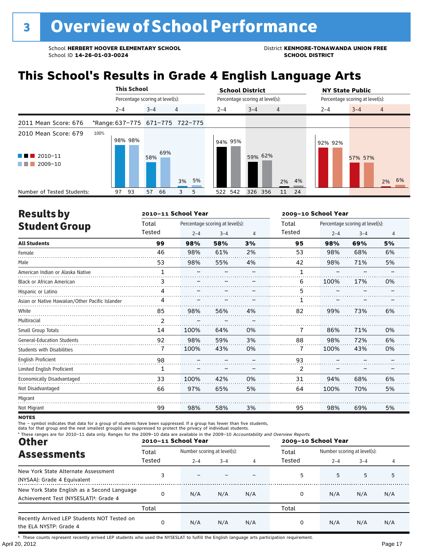## **This School's Results in Grade 4 English Language Arts**

|                                                           |                                 | <b>This School</b>              |     |                 | <b>School District</b> |                                 |                   | <b>NY State Public</b>          |                           |  |  |
|-----------------------------------------------------------|---------------------------------|---------------------------------|-----|-----------------|------------------------|---------------------------------|-------------------|---------------------------------|---------------------------|--|--|
|                                                           |                                 | Percentage scoring at level(s): |     |                 |                        | Percentage scoring at level(s): |                   | Percentage scoring at level(s): |                           |  |  |
|                                                           | $2 - 4$                         | $3 - 4$                         |     | 4               | $2 - 4$                | $3 - 4$<br>$\overline{4}$       |                   | $2 - 4$                         | $3 - 4$<br>$\overline{4}$ |  |  |
| 2011 Mean Score: 676                                      | *Range: 637-775 671-775 722-775 |                                 |     |                 |                        |                                 |                   |                                 |                           |  |  |
| 2010 Mean Score: 679<br>$\blacksquare$ 2010-11<br>2009-10 | 100%<br>98% 98%                 | 58%                             | 69% |                 | 94% 95%                | 59% 62%                         |                   | 92% 92%                         | 57% 57%                   |  |  |
| Number of Tested Students:                                | 97<br>93                        | 57                              | 66  | 3% 5%<br>5<br>3 | 522 542                | 326 356                         | 2% 4%<br>24<br>11 |                                 | 2% 6%                     |  |  |

| <b>Results by</b>                               |        | 2010-11 School Year |                                 |    |                | 2009-10 School Year             |         |                |  |  |
|-------------------------------------------------|--------|---------------------|---------------------------------|----|----------------|---------------------------------|---------|----------------|--|--|
| <b>Student Group</b>                            | Total  |                     | Percentage scoring at level(s): |    | Total          | Percentage scoring at level(s): |         |                |  |  |
|                                                 | Tested | $2 - 4$             | $3 - 4$                         | 4  | Tested         | $2 - 4$                         | $3 - 4$ | $\overline{4}$ |  |  |
| <b>All Students</b>                             | 99     | 98%                 | 58%                             | 3% | 95             | 98%                             | 69%     | 5%             |  |  |
| Female                                          | 46     | 98%                 | 61%                             | 2% | 53             | 98%                             | 68%     | 6%             |  |  |
| Male                                            | 53     | 98%                 | 55%                             | 4% | 42             | 98%                             | 71%     | 5%             |  |  |
| American Indian or Alaska Native                | 1      |                     |                                 |    | 1              |                                 |         |                |  |  |
| <b>Black or African American</b>                | 3      |                     |                                 |    | 6              | 100%                            | 17%     | 0%             |  |  |
| Hispanic or Latino                              | 4      |                     |                                 |    | 5              |                                 |         |                |  |  |
| Asian or Native Hawaiian/Other Pacific Islander | 4      |                     |                                 |    |                |                                 |         |                |  |  |
| White                                           | 85     | 98%                 | 56%                             | 4% | 82             | 99%                             | 73%     | 6%             |  |  |
| Multiracial                                     |        |                     |                                 |    |                |                                 |         |                |  |  |
| Small Group Totals                              | 14     | 100%                | 64%                             | 0% | 7              | 86%                             | 71%     | 0%             |  |  |
| <b>General-Education Students</b>               | 92     | 98%                 | 59%                             | 3% | 88             | 98%                             | 72%     | 6%             |  |  |
| <b>Students with Disabilities</b>               | 7      | 100%                | 43%                             | 0% | $\overline{1}$ | 100%                            | 43%     | 0%             |  |  |
| <b>English Proficient</b>                       | 98     |                     |                                 |    | 93             |                                 |         |                |  |  |
| Limited English Proficient                      | 1      |                     |                                 |    | 2              |                                 |         |                |  |  |
| Economically Disadvantaged                      | 33     | 100%                | 42%                             | 0% | 31             | 94%                             | 68%     | 6%             |  |  |
| Not Disadvantaged                               | 66     | 97%                 | 65%                             | 5% | 64             | 100%                            | 70%     | 5%             |  |  |
| Migrant                                         |        |                     |                                 |    |                |                                 |         |                |  |  |
| Not Migrant                                     | 99     | 98%                 | 58%                             | 3% | 95             | 98%                             | 69%     | 5%             |  |  |

**NOTES** 

The – symbol indicates that data for a group of students have been suppressed. If a group has fewer than five students,<br>data for that group and the next smallest group(s) are suppressed to protect the privacy of individual

| * These ranges are for 2010-11 data only. Ranges for the 2009-10 data are available in the 2009-10 Accountability and Overview Reports.<br><b>Other</b> |                 | 2010-11 School Year                    |         |     | 2009-10 School Year |                                           |                                        |     |
|---------------------------------------------------------------------------------------------------------------------------------------------------------|-----------------|----------------------------------------|---------|-----|---------------------|-------------------------------------------|----------------------------------------|-----|
| <b>Assessments</b>                                                                                                                                      | Total<br>Tested | Number scoring at level(s):<br>$2 - 4$ | $3 - 4$ | 4   | Total<br>Tested     | $2 - 4$<br>5<br>5<br>0<br>N/A<br>N/A<br>0 | Number scoring at level(s):<br>$3 - 4$ |     |
| New York State Alternate Assessment<br>(NYSAA): Grade 4 Equivalent                                                                                      |                 |                                        |         |     |                     |                                           | 5                                      | 5   |
| New York State English as a Second Language<br>Achievement Test (NYSESLAT) <sup>+</sup> : Grade 4                                                       | 0               | N/A                                    | N/A     | N/A |                     |                                           | N/A                                    | N/A |
|                                                                                                                                                         | Total           |                                        |         |     | Total               |                                           |                                        |     |
| Recently Arrived LEP Students NOT Tested on<br>the ELA NYSTP: Grade 4                                                                                   | 0               | N/A                                    | N/A     | N/A |                     |                                           | N/A                                    | N/A |

April 20, 2012 Page 17 † These counts represent recently arrived LEP students who used the NYSESLAT to fulfill the English language arts participation requirement.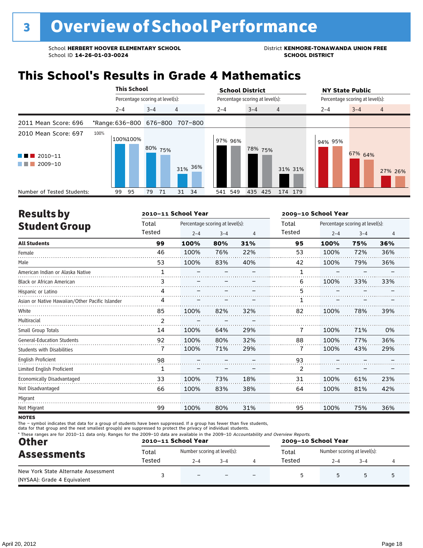## **This School's Results in Grade 4 Mathematics**

|                                                                                        | <b>This School</b>              |                                 |          | <b>School District</b> |                                 | <b>NY State Public</b>               |
|----------------------------------------------------------------------------------------|---------------------------------|---------------------------------|----------|------------------------|---------------------------------|--------------------------------------|
|                                                                                        |                                 | Percentage scoring at level(s): |          |                        | Percentage scoring at level(s): | Percentage scoring at level(s):      |
|                                                                                        | $2 - 4$                         | $3 - 4$                         | 4        | $2 - 4$                | $3 - 4$<br>$\overline{4}$       | $3 - 4$<br>$\overline{4}$<br>$2 - 4$ |
| 2011 Mean Score: 696                                                                   | *Range: 636-800 676-800 707-800 |                                 |          |                        |                                 |                                      |
| 2010 Mean Score: 697<br>$2010 - 11$<br><b>Contract Contract</b><br>2009-10<br>a sa Tan | 100%<br>100%100%                | 80% 75%                         | 31% 36%  | 97% 96%                | 78% 75%<br>31% 31%              | 94% 95%<br>67% 64%<br>27% 26%        |
| Number of Tested Students:                                                             | 99<br>95                        | 71<br>79                        | 31<br>34 | 541 549                | 435<br>425<br>174 179           |                                      |

| <b>Results by</b>                               |        | 2010-11 School Year |                                 |                | 2009-10 School Year |         |                                 |     |
|-------------------------------------------------|--------|---------------------|---------------------------------|----------------|---------------------|---------|---------------------------------|-----|
| <b>Student Group</b>                            | Total  |                     | Percentage scoring at level(s): |                | Total               |         | Percentage scoring at level(s): |     |
|                                                 | Tested | $2 - 4$             | $3 - 4$                         | $\overline{4}$ | <b>Tested</b>       | $2 - 4$ | $3 - 4$                         | 4   |
| <b>All Students</b>                             | 99     | 100%                | 80%                             | 31%            | 95                  | 100%    | 75%                             | 36% |
| Female                                          | 46     | 100%                | 76%                             | 22%            | 53                  | 100%    | 72%                             | 36% |
| Male                                            | 53     | 100%                | 83%                             | 40%            | 42                  | 100%    | 79%                             | 36% |
| American Indian or Alaska Native                | 1      |                     |                                 |                | 1                   |         |                                 |     |
| <b>Black or African American</b>                | 3      |                     |                                 |                | 6                   | 100%    | 33%                             | 33% |
| Hispanic or Latino                              | 4      |                     |                                 |                | 5                   |         |                                 |     |
| Asian or Native Hawaiian/Other Pacific Islander | 4      |                     |                                 |                |                     |         |                                 |     |
| White                                           | 85     | 100%                | 82%                             | 32%            | 82                  | 100%    | 78%                             | 39% |
| Multiracial                                     | 2      |                     |                                 |                |                     |         |                                 |     |
| Small Group Totals                              | 14     | 100%                | 64%                             | 29%            | 7                   | 100%    | 71%                             | 0%  |
| <b>General-Education Students</b>               | 92     | 100%                | 80%                             | 32%            | 88                  | 100%    | 77%                             | 36% |
| <b>Students with Disabilities</b>               | 7      | 100%                | 71%                             | 29%            | 7                   | 100%    | 43%                             | 29% |
| <b>English Proficient</b>                       | 98     |                     |                                 |                | 93                  |         |                                 |     |
| Limited English Proficient                      | 1      |                     |                                 |                | 2                   |         |                                 |     |
| Economically Disadvantaged                      | 33     | 100%                | 73%                             | 18%            | 31                  | 100%    | 61%                             | 23% |
| Not Disadvantaged                               | 66     | 100%                | 83%                             | 38%            | 64                  | 100%    | 81%                             | 42% |
| Migrant                                         |        |                     |                                 |                |                     |         |                                 |     |
| Not Migrant                                     | 99     | 100%                | 80%                             | 31%            | 95                  | 100%    | 75%                             | 36% |

**NOTES** 

| <b>Other</b><br><b>Assessments</b>                                 |        | 2010-11 School Year         |         | 2009-10 School Year |        |                             |         |  |
|--------------------------------------------------------------------|--------|-----------------------------|---------|---------------------|--------|-----------------------------|---------|--|
|                                                                    | Total  | Number scoring at level(s): |         |                     | Total  | Number scoring at level(s): |         |  |
|                                                                    | Tested | $2 - 4$                     | $3 - 4$ |                     | Tested | $2 - 4$                     | $3 - 4$ |  |
| New York State Alternate Assessment<br>(NYSAA): Grade 4 Equivalent |        | $\overline{\phantom{0}}$    |         |                     |        |                             |         |  |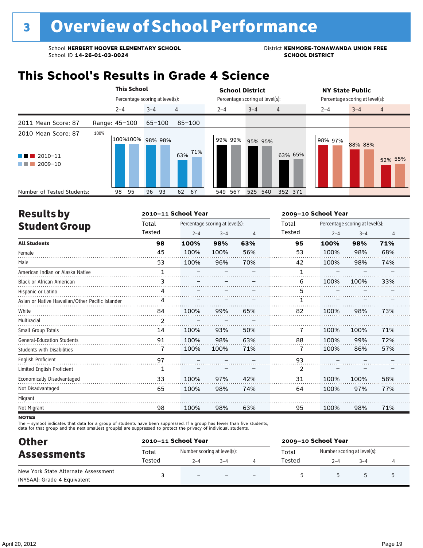### **This School's Results in Grade 4 Science**

|                                                                             |               | <b>This School</b> |                                 |            | <b>School District</b> |                                 | <b>NY State Public</b>               |
|-----------------------------------------------------------------------------|---------------|--------------------|---------------------------------|------------|------------------------|---------------------------------|--------------------------------------|
|                                                                             |               |                    | Percentage scoring at level(s): |            |                        | Percentage scoring at level(s): | Percentage scoring at level(s):      |
|                                                                             |               | $2 - 4$            | $3 - 4$                         | 4          | $2 - 4$                | $3 - 4$<br>$\overline{4}$       | $3 - 4$<br>$\overline{4}$<br>$2 - 4$ |
| 2011 Mean Score: 87                                                         | Range: 45-100 |                    | $65 - 100$                      | $85 - 100$ |                        |                                 |                                      |
| 2010 Mean Score: 87<br>2010-11<br>a sa Bara<br>2009-10<br><b>The Common</b> | 100%          |                    | 100%100% 98% 98%                | 63% 71%    | 99% 99%                | 95% 95%<br>63% 65%              | 98% 97%<br>88% 88%<br>52% 55%        |
| Number of Tested Students:                                                  |               | 98<br>95           | 96<br>93                        | 62<br>67   | 567<br>549             | 525<br>540<br>352 371           |                                      |

| <b>Results by</b>                               |                | 2010-11 School Year |                                 |     | 2009-10 School Year |                                 |         |     |  |
|-------------------------------------------------|----------------|---------------------|---------------------------------|-----|---------------------|---------------------------------|---------|-----|--|
| <b>Student Group</b>                            | Total          |                     | Percentage scoring at level(s): |     | Total               | Percentage scoring at level(s): |         |     |  |
|                                                 | Tested         | $2 - 4$             | $3 - 4$                         | 4   | Tested              | $2 - 4$                         | $3 - 4$ | 4   |  |
| <b>All Students</b>                             | 98             | 100%                | 98%                             | 63% | 95                  | 100%                            | 98%     | 71% |  |
| Female                                          | 45             | 100%                | 100%                            | 56% | 53                  | 100%                            | 98%     | 68% |  |
| Male                                            | 53             | 100%                | 96%                             | 70% | 42                  | 100%                            | 98%     | 74% |  |
| American Indian or Alaska Native                | $\mathbf{1}$   |                     |                                 |     | $\mathbf{1}$        |                                 |         |     |  |
| <b>Black or African American</b>                | 3              |                     |                                 |     | 6                   | 100%                            | 100%    | 33% |  |
| Hispanic or Latino                              | 4              |                     |                                 |     | 5                   |                                 |         |     |  |
| Asian or Native Hawaiian/Other Pacific Islander | 4              |                     |                                 |     |                     |                                 |         |     |  |
| White                                           | 84             | 100%                | 99%                             | 65% | 82                  | 100%                            | 98%     | 73% |  |
| Multiracial                                     | $\overline{2}$ |                     |                                 |     |                     |                                 |         |     |  |
| Small Group Totals                              | 14             | 100%                | 93%                             | 50% | 7                   | 100%                            | 100%    | 71% |  |
| <b>General-Education Students</b>               | 91             | 100%                | 98%                             | 63% | 88                  | 100%                            | 99%     | 72% |  |
| <b>Students with Disabilities</b>               | 7              | 100%                | 100%                            | 71% | 7                   | 100%                            | 86%     | 57% |  |
| <b>English Proficient</b>                       | 97             |                     |                                 |     | 93                  |                                 |         |     |  |
| Limited English Proficient                      | 1              |                     |                                 |     | 2                   |                                 |         |     |  |
| Economically Disadvantaged                      | 33             | 100%                | 97%                             | 42% | 31                  | 100%                            | 100%    | 58% |  |
| Not Disadvantaged                               | 65             | 100%                | 98%                             | 74% | 64                  | 100%                            | 97%     | 77% |  |
| Migrant                                         |                |                     |                                 |     |                     |                                 |         |     |  |
| Not Migrant                                     | 98             | 100%                | 98%                             | 63% | 95                  | 100%                            | 98%     | 71% |  |

**NOTES** 

| <b>Other</b>                                                       |        | 2010-11 School Year         |         | 2009-10 School Year |                             |         |  |  |
|--------------------------------------------------------------------|--------|-----------------------------|---------|---------------------|-----------------------------|---------|--|--|
| <b>Assessments</b>                                                 | Total  | Number scoring at level(s): |         | Total               | Number scoring at level(s): |         |  |  |
|                                                                    | Tested | $2 - 4$                     | $3 - 4$ | Tested              | $2 - 4$                     | $3 - 4$ |  |  |
| New York State Alternate Assessment<br>(NYSAA): Grade 4 Equivalent |        | $\overline{\phantom{0}}$    |         |                     |                             | 5       |  |  |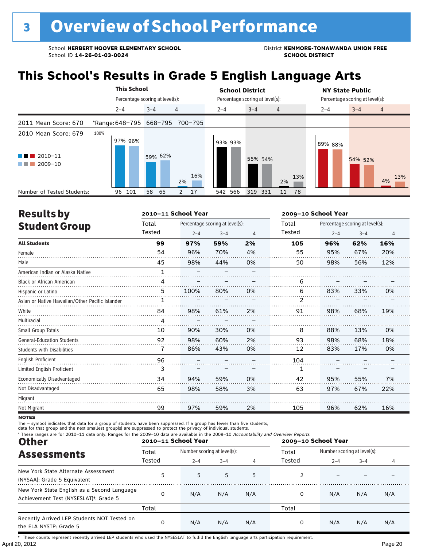## **This School's Results in Grade 5 English Language Arts**

|                                                                                |                                 | <b>This School</b> |                                 |                |                      | <b>School District</b> |                                 |                |         | <b>NY State Public</b>          |                |  |
|--------------------------------------------------------------------------------|---------------------------------|--------------------|---------------------------------|----------------|----------------------|------------------------|---------------------------------|----------------|---------|---------------------------------|----------------|--|
|                                                                                |                                 |                    | Percentage scoring at level(s): |                |                      |                        | Percentage scoring at level(s): |                |         | Percentage scoring at level(s): |                |  |
|                                                                                | $2 - 4$                         |                    | $3 - 4$                         | $\overline{4}$ |                      | $2 - 4$                | $3 - 4$                         | $\overline{4}$ | $2 - 4$ | $3 - 4$                         | $\overline{4}$ |  |
| 2011 Mean Score: 670                                                           | *Range: 648-795 668-795 700-795 |                    |                                 |                |                      |                        |                                 |                |         |                                 |                |  |
| 2010 Mean Score: 679                                                           | 100%                            | 97% 96%            |                                 |                |                      | 93% 93%                |                                 |                | 89% 88% |                                 |                |  |
| $\blacksquare$ 2010-11<br><b>The Second Second</b><br>2009-10<br>a katika masu |                                 |                    | 59% 62%                         |                | 16%<br>2%            |                        | 55% 54%                         | 13%<br>2%      |         | 54% 52%                         | 13%<br>4%      |  |
| Number of Tested Students:                                                     | 96                              | 101                | 58<br>65                        |                | $\overline{2}$<br>17 | 542 566                | 319 331                         | 78<br>11       |         |                                 |                |  |

| <b>Results by</b>                               |              | 2010-11 School Year |                                 |    | 2009-10 School Year |         |                                 |     |
|-------------------------------------------------|--------------|---------------------|---------------------------------|----|---------------------|---------|---------------------------------|-----|
| <b>Student Group</b>                            | Total        |                     | Percentage scoring at level(s): |    | Total               |         | Percentage scoring at level(s): |     |
|                                                 | Tested       | $2 - 4$             | $3 - 4$                         | 4  | Tested              | $2 - 4$ | $3 - 4$                         | 4   |
| <b>All Students</b>                             | 99           | 97%                 | 59%                             | 2% | 105                 | 96%     | 62%                             | 16% |
| Female                                          | 54           | 96%                 | 70%                             | 4% | 55                  | 95%     | 67%                             | 20% |
| Male                                            | 45           | 98%                 | 44%                             | 0% | 50                  | 98%     | 56%                             | 12% |
| American Indian or Alaska Native                | $\mathbf{1}$ |                     |                                 |    |                     |         |                                 |     |
| <b>Black or African American</b>                | 4            |                     |                                 |    | 6                   |         |                                 |     |
| Hispanic or Latino                              | 5            | 100%                | 80%                             | 0% | 6                   | 83%     | 33%                             | 0%  |
| Asian or Native Hawaiian/Other Pacific Islander | 1            |                     |                                 |    | 2                   |         |                                 |     |
| White                                           | 84           | 98%                 | 61%                             | 2% | 91                  | 98%     | 68%                             | 19% |
| Multiracial                                     | 4            |                     |                                 |    |                     |         |                                 |     |
| Small Group Totals                              | 10           | 90%                 | 30%                             | 0% | 8                   | 88%     | 13%                             | 0%  |
| <b>General-Education Students</b>               | 92           | 98%                 | 60%                             | 2% | 93                  | 98%     | 68%                             | 18% |
| <b>Students with Disabilities</b>               | 7            | 86%                 | 43%                             | 0% | 12                  | 83%     | 17%                             | 0%  |
| <b>English Proficient</b>                       | 96           |                     |                                 |    | 104                 |         |                                 |     |
| Limited English Proficient                      | 3            |                     |                                 |    | 1                   |         |                                 |     |
| Economically Disadvantaged                      | 34           | 94%                 | 59%                             | 0% | 42                  | 95%     | 55%                             | 7%  |
| Not Disadvantaged                               | 65           | 98%                 | 58%                             | 3% | 63                  | 97%     | 67%                             | 22% |
| Migrant                                         |              |                     |                                 |    |                     |         |                                 |     |
| Not Migrant                                     | 99           | 97%                 | 59%                             | 2% | 105                 | 96%     | 62%                             | 16% |

**NOTES** 

The – symbol indicates that data for a group of students have been suppressed. If a group has fewer than five students,<br>data for that group and the next smallest group(s) are suppressed to protect the privacy of individual

| * These ranges are for 2010-11 data only. Ranges for the 2009-10 data are available in the 2009-10 Accountability and Overview Reports.<br><b>Other</b> |        | 2010-11 School Year         |         |     | 2009-10 School Year |                             |                       |     |
|---------------------------------------------------------------------------------------------------------------------------------------------------------|--------|-----------------------------|---------|-----|---------------------|-----------------------------|-----------------------|-----|
| <b>Assessments</b>                                                                                                                                      | Total  | Number scoring at level(s): |         |     | Total               | Number scoring at level(s): |                       |     |
|                                                                                                                                                         | Tested | $2 - 4$                     | $3 - 4$ |     | Tested              | $2 - 4$                     | $3 - 4$<br>N/A<br>N/A |     |
| New York State Alternate Assessment<br>(NYSAA): Grade 5 Equivalent                                                                                      | 5      | 5                           | 5       | 5   |                     |                             |                       |     |
| New York State English as a Second Language<br>Achievement Test (NYSESLAT) <sup>+</sup> : Grade 5                                                       | 0      | N/A                         | N/A     | N/A | 0                   | N/A                         |                       | N/A |
|                                                                                                                                                         | Total  |                             |         |     | Total               |                             |                       |     |
| Recently Arrived LEP Students NOT Tested on<br>the ELA NYSTP: Grade 5                                                                                   | 0      | N/A                         | N/A     | N/A | 0                   | N/A                         |                       | N/A |

April 20, 2012 Page 20 † These counts represent recently arrived LEP students who used the NYSESLAT to fulfill the English language arts participation requirement.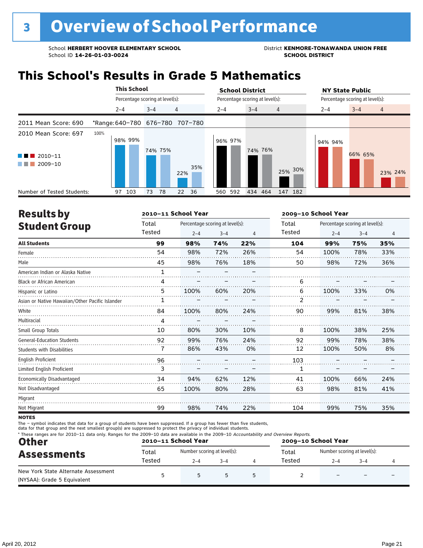## **This School's Results in Grade 5 Mathematics**

|                                                     | <b>This School</b> |                                 | <b>School District</b> |                                 | <b>NY State Public</b>               |
|-----------------------------------------------------|--------------------|---------------------------------|------------------------|---------------------------------|--------------------------------------|
|                                                     |                    | Percentage scoring at level(s): |                        | Percentage scoring at level(s): | Percentage scoring at level(s):      |
|                                                     | $2 - 4$            | 4<br>$3 - 4$                    | $2 - 4$                | $3 - 4$<br>4                    | $2 - 4$<br>$3 - 4$<br>$\overline{4}$ |
| 2011 Mean Score: 690                                |                    | *Range: 640-780 676-780 707-780 |                        |                                 |                                      |
| 2010 Mean Score: 697<br>2010-11<br>.<br>$2009 - 10$ | 100%<br>98% 99%    | 74% 75%<br>22%                  | 96% 97%<br>35%         | 74% 76%<br>25% 30%              | 94% 94%<br>66% 65%<br>23% 24%        |
| Number of Tested Students:                          | 103<br>97          | 78<br>22<br>36<br>73            | 560 592                | 434 464<br>147 182              |                                      |

| <b>Results by</b>                               |              | 2010-11 School Year |                                 |     | 2009-10 School Year |         |                                 |     |
|-------------------------------------------------|--------------|---------------------|---------------------------------|-----|---------------------|---------|---------------------------------|-----|
| <b>Student Group</b>                            | Total        |                     | Percentage scoring at level(s): |     | Total               |         | Percentage scoring at level(s): |     |
|                                                 | Tested       | $2 - 4$             | $3 - 4$                         | 4   | Tested              | $2 - 4$ | $3 - 4$                         | 4   |
| <b>All Students</b>                             | 99           | 98%                 | 74%                             | 22% | 104                 | 99%     | 75%                             | 35% |
| Female                                          | 54           | 98%                 | 72%                             | 26% | 54                  | 100%    | 78%                             | 33% |
| Male                                            | 45           | 98%                 | 76%                             | 18% | 50                  | 98%     | 72%                             | 36% |
| American Indian or Alaska Native                | $\mathbf{1}$ |                     |                                 |     |                     |         |                                 |     |
| <b>Black or African American</b>                | 4            |                     |                                 |     | 6                   |         |                                 |     |
| Hispanic or Latino                              | 5            | 100%                | 60%                             | 20% | 6                   | 100%    | 33%                             | 0%  |
| Asian or Native Hawaiian/Other Pacific Islander | 1            |                     |                                 |     | 2                   |         |                                 |     |
| White                                           | 84           | 100%                | 80%                             | 24% | 90                  | 99%     | 81%                             | 38% |
| Multiracial                                     | 4            |                     |                                 |     |                     |         |                                 |     |
| Small Group Totals                              | 10           | 80%                 | 30%                             | 10% | 8                   | 100%    | 38%                             | 25% |
| <b>General-Education Students</b>               | 92           | 99%                 | 76%                             | 24% | 92                  | 99%     | 78%                             | 38% |
| <b>Students with Disabilities</b>               | 7            | 86%                 | 43%                             | 0%  | 12                  | 100%    | 50%                             | 8%  |
| <b>English Proficient</b>                       | 96           |                     |                                 |     | 103                 |         |                                 |     |
| Limited English Proficient                      | 3            |                     |                                 |     | 1                   |         |                                 |     |
| Economically Disadvantaged                      | 34           | 94%                 | 62%                             | 12% | 41                  | 100%    | 66%                             | 24% |
| Not Disadvantaged                               | 65           | 100%                | 80%                             | 28% | 63                  | 98%     | 81%                             | 41% |
| Migrant                                         |              |                     |                                 |     |                     |         |                                 |     |
| Not Migrant                                     | 99           | 98%                 | 74%                             | 22% | 104                 | 99%     | 75%                             | 35% |

**NOTES** 

| <b>Other</b><br><b>Assessments</b>                                 |        | 2010-11 School Year         | 2009-10 School Year |  |                                      |         |         |  |  |
|--------------------------------------------------------------------|--------|-----------------------------|---------------------|--|--------------------------------------|---------|---------|--|--|
|                                                                    | Total  | Number scoring at level(s): |                     |  | Number scoring at level(s):<br>Total |         |         |  |  |
|                                                                    | Tested | $2 - 4$                     | $3 - 4$             |  | Tested                               | $2 - 4$ | $3 - 4$ |  |  |
| New York State Alternate Assessment<br>(NYSAA): Grade 5 Equivalent |        |                             |                     |  |                                      |         |         |  |  |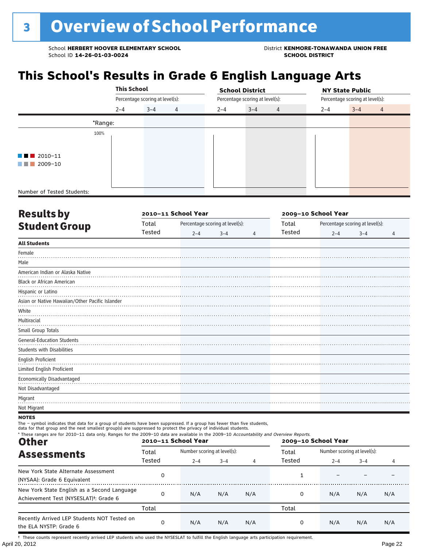## **This School's Results in Grade 6 English Language Arts**

|                                                                                                                                  | <b>This School</b> |                                 |   |         | <b>School District</b>          |                |                                 | <b>NY State Public</b> |                |  |
|----------------------------------------------------------------------------------------------------------------------------------|--------------------|---------------------------------|---|---------|---------------------------------|----------------|---------------------------------|------------------------|----------------|--|
|                                                                                                                                  |                    | Percentage scoring at level(s): |   |         | Percentage scoring at level(s): |                | Percentage scoring at level(s): |                        |                |  |
|                                                                                                                                  | $2 - 4$            | $3 - 4$                         | 4 | $2 - 4$ | $3 - 4$                         | $\overline{4}$ | $2 - 4$                         | $3 - 4$                | $\overline{4}$ |  |
|                                                                                                                                  | *Range:            |                                 |   |         |                                 |                |                                 |                        |                |  |
|                                                                                                                                  | 100%               |                                 |   |         |                                 |                |                                 |                        |                |  |
|                                                                                                                                  |                    |                                 |   |         |                                 |                |                                 |                        |                |  |
| $\blacksquare$ 2010-11                                                                                                           |                    |                                 |   |         |                                 |                |                                 |                        |                |  |
| 2009-10<br><b>The Contract of the Contract of the Contract of the Contract of the Contract of the Contract of the Contract o</b> |                    |                                 |   |         |                                 |                |                                 |                        |                |  |
|                                                                                                                                  |                    |                                 |   |         |                                 |                |                                 |                        |                |  |
| Number of Tested Students:                                                                                                       |                    |                                 |   |         |                                 |                |                                 |                        |                |  |

| <b>Results by</b>                                               |        | 2010-11 School Year |                                 |                                          | 2009-10 School Year |         |         |   |  |
|-----------------------------------------------------------------|--------|---------------------|---------------------------------|------------------------------------------|---------------------|---------|---------|---|--|
| <b>Student Group</b>                                            | Total  |                     | Percentage scoring at level(s): | Percentage scoring at level(s):<br>Total |                     |         |         |   |  |
|                                                                 | Tested | $2 - 4$             | $3 - 4$                         | 4                                        | Tested              | $2 - 4$ | $3 - 4$ | 4 |  |
| <b>All Students</b>                                             |        |                     |                                 |                                          |                     |         |         |   |  |
| Female                                                          |        |                     |                                 |                                          |                     |         |         |   |  |
| Male                                                            |        |                     |                                 |                                          |                     |         |         |   |  |
| American Indian or Alaska Native                                |        |                     |                                 |                                          |                     |         |         |   |  |
| <b>Black or African American</b>                                |        |                     |                                 |                                          |                     |         |         |   |  |
| Hispanic or Latino                                              |        |                     |                                 |                                          |                     |         |         |   |  |
| Asian or Native Hawaiian/Other Pacific Islander                 |        |                     |                                 |                                          |                     |         |         |   |  |
| White                                                           |        |                     |                                 |                                          |                     |         |         |   |  |
| Multiracial                                                     |        |                     |                                 |                                          |                     |         |         |   |  |
| Small Group Totals                                              |        |                     |                                 |                                          |                     |         |         |   |  |
| <b>General-Education Students</b><br>Students with Disabilities |        |                     |                                 |                                          |                     |         |         |   |  |
| English Proficient<br>Limited English Proficient                |        |                     |                                 |                                          |                     |         |         |   |  |
| Economically Disadvantaged                                      |        |                     |                                 |                                          |                     |         |         |   |  |
| Not Disadvantaged                                               |        |                     |                                 |                                          |                     |         |         |   |  |
| Migrant                                                         |        |                     |                                 |                                          |                     |         |         |   |  |
| Not Migrant                                                     |        |                     |                                 |                                          |                     |         |         |   |  |

**NOTES** 

The – symbol indicates that data for a group of students have been suppressed. If a group has fewer than five students,

data for that group and the next smallest group(s) are suppressed to protect the privacy of individual students.

| * These ranges are for 2010-11 data only. Ranges for the 2009-10 data are available in the 2009-10 Accountability and Overview Reports.<br><b>Other</b> |          | 2010-11 School Year |                             |     | 2009-10 School Year |                             |                |     |  |
|---------------------------------------------------------------------------------------------------------------------------------------------------------|----------|---------------------|-----------------------------|-----|---------------------|-----------------------------|----------------|-----|--|
| <b>Assessments</b>                                                                                                                                      | Total    |                     | Number scoring at level(s): |     |                     | Number scoring at level(s): |                |     |  |
|                                                                                                                                                         | Tested   | $2 - 4$             | $3 - 4$                     | 4   | Tested              | $2 - 4$                     | $3 - 4$<br>N/A | 4   |  |
| New York State Alternate Assessment<br>(NYSAA): Grade 6 Equivalent                                                                                      |          |                     |                             |     |                     |                             |                |     |  |
| New York State English as a Second Language<br>Achievement Test (NYSESLAT) <sup>†</sup> : Grade 6                                                       | $\Omega$ | N/A                 | N/A                         | N/A | 0                   | N/A                         |                | N/A |  |
|                                                                                                                                                         | Total    |                     |                             |     | Total               |                             |                |     |  |
| Recently Arrived LEP Students NOT Tested on<br>the ELA NYSTP: Grade 6                                                                                   | $\Omega$ | N/A                 | N/A                         | N/A | 0                   | N/A                         | N/A            | N/A |  |

April 20, 2012 Page 22 † These counts represent recently arrived LEP students who used the NYSESLAT to fulfill the English language arts participation requirement.